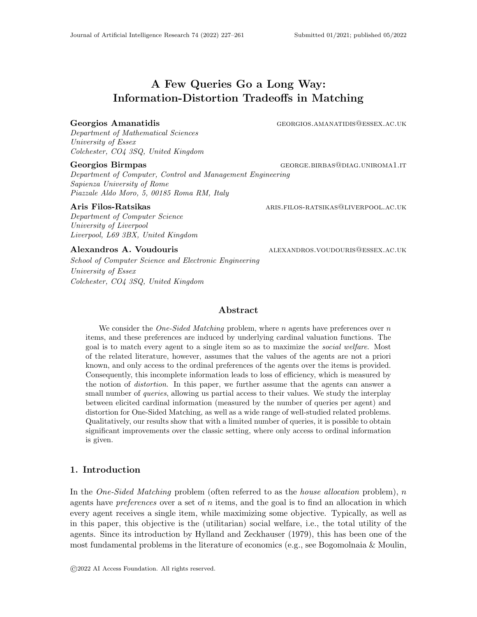# A Few Queries Go a Long Way: Information-Distortion Tradeoffs in Matching

#### Georgios Amanatidis GEORGIOS.AMANATIDIS@ESSEX.AC.UK

Department of Mathematical Sciences University of Essex Colchester, CO4 3SQ, United Kingdom

Department of Computer, Control and Management Engineering Sapienza University of Rome Piazzale Aldo Moro, 5, 00185 Roma RM, Italy

Department of Computer Science University of Liverpool Liverpool, L69 3BX, United Kingdom

School of Computer Science and Electronic Engineering University of Essex Colchester, CO4 3SQ, United Kingdom

Georgios Birmpas George.birbashight George.birbashight George.birbashight George.birbashight Georgia Birmpas

Aris Filos-Ratsikas aris. The aris. Filos-ratsikas@liverpool.ac.uk

Alexandros A. Voudouris alexandros.voudouris alexandros.voudouris@essex.ac.uk

# Abstract

We consider the *One-Sided Matching* problem, where n agents have preferences over n items, and these preferences are induced by underlying cardinal valuation functions. The goal is to match every agent to a single item so as to maximize the social welfare. Most of the related literature, however, assumes that the values of the agents are not a priori known, and only access to the ordinal preferences of the agents over the items is provided. Consequently, this incomplete information leads to loss of efficiency, which is measured by the notion of distortion. In this paper, we further assume that the agents can answer a small number of *queries*, allowing us partial access to their values. We study the interplay between elicited cardinal information (measured by the number of queries per agent) and distortion for One-Sided Matching, as well as a wide range of well-studied related problems. Qualitatively, our results show that with a limited number of queries, it is possible to obtain significant improvements over the classic setting, where only access to ordinal information is given.

# 1. Introduction

In the *One-Sided Matching* problem (often referred to as the *house allocation* problem), n agents have *preferences* over a set of n items, and the goal is to find an allocation in which every agent receives a single item, while maximizing some objective. Typically, as well as in this paper, this objective is the (utilitarian) social welfare, i.e., the total utility of the agents. Since its introduction by Hylland and Zeckhauser (1979), this has been one of the most fundamental problems in the literature of economics (e.g., see Bogomolnaia & Moulin,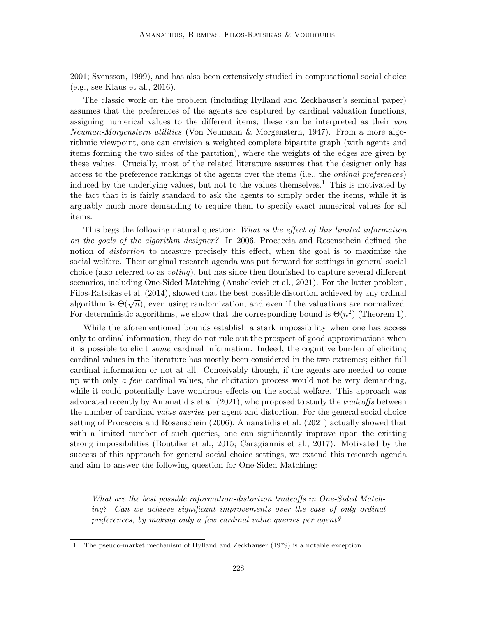2001; Svensson, 1999), and has also been extensively studied in computational social choice (e.g., see Klaus et al., 2016).

The classic work on the problem (including Hylland and Zeckhauser's seminal paper) assumes that the preferences of the agents are captured by cardinal valuation functions, assigning numerical values to the different items; these can be interpreted as their von Neuman-Morgenstern utilities (Von Neumann & Morgenstern, 1947). From a more algorithmic viewpoint, one can envision a weighted complete bipartite graph (with agents and items forming the two sides of the partition), where the weights of the edges are given by these values. Crucially, most of the related literature assumes that the designer only has access to the preference rankings of the agents over the items (i.e., the ordinal preferences) induced by the underlying values, but not to the values themselves.<sup>1</sup> This is motivated by the fact that it is fairly standard to ask the agents to simply order the items, while it is arguably much more demanding to require them to specify exact numerical values for all items.

This begs the following natural question: What is the effect of this limited information on the goals of the algorithm designer? In 2006, Procaccia and Rosenschein defined the notion of *distortion* to measure precisely this effect, when the goal is to maximize the social welfare. Their original research agenda was put forward for settings in general social choice (also referred to as voting), but has since then flourished to capture several different scenarios, including One-Sided Matching (Anshelevich et al., 2021). For the latter problem, Filos-Ratsikas et al. (2014), showed that the best possible distortion achieved by any ordinal  $\alpha$  hos-rtatisfies et al. (2014), showed that the best possible distortion athered by any ordinal algorithm is  $\Theta(\sqrt{n})$ , even using randomization, and even if the valuations are normalized. For deterministic algorithms, we show that the corresponding bound is  $\Theta(n^2)$  (Theorem 1).

While the aforementioned bounds establish a stark impossibility when one has access only to ordinal information, they do not rule out the prospect of good approximations when it is possible to elicit some cardinal information. Indeed, the cognitive burden of eliciting cardinal values in the literature has mostly been considered in the two extremes; either full cardinal information or not at all. Conceivably though, if the agents are needed to come up with only  $\alpha$  few cardinal values, the elicitation process would not be very demanding, while it could potentially have wondrous effects on the social welfare. This approach was advocated recently by Amanatidis et al. (2021), who proposed to study the tradeoffs between the number of cardinal value queries per agent and distortion. For the general social choice setting of Procaccia and Rosenschein (2006), Amanatidis et al. (2021) actually showed that with a limited number of such queries, one can significantly improve upon the existing strong impossibilities (Boutilier et al., 2015; Caragiannis et al., 2017). Motivated by the success of this approach for general social choice settings, we extend this research agenda and aim to answer the following question for One-Sided Matching:

What are the best possible information-distortion tradeoffs in One-Sided Matching? Can we achieve significant improvements over the case of only ordinal preferences, by making only a few cardinal value queries per agent?

<sup>1.</sup> The pseudo-market mechanism of Hylland and Zeckhauser (1979) is a notable exception.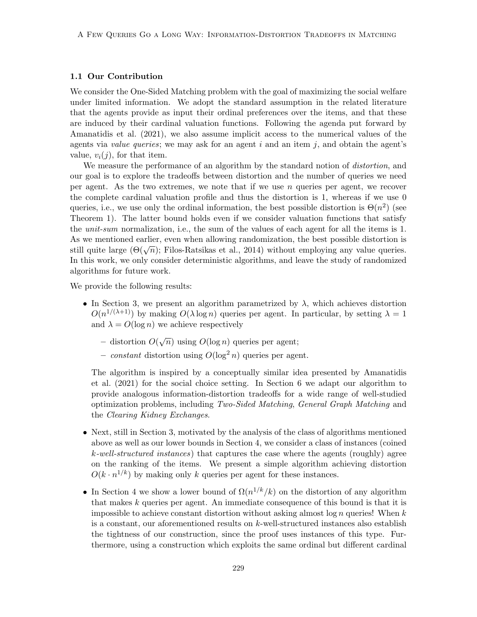### 1.1 Our Contribution

We consider the One-Sided Matching problem with the goal of maximizing the social welfare under limited information. We adopt the standard assumption in the related literature that the agents provide as input their ordinal preferences over the items, and that these are induced by their cardinal valuation functions. Following the agenda put forward by Amanatidis et al. (2021), we also assume implicit access to the numerical values of the agents via *value queries*; we may ask for an agent  $i$  and an item  $j$ , and obtain the agent's value,  $v_i(i)$ , for that item.

We measure the performance of an algorithm by the standard notion of *distortion*, and our goal is to explore the tradeoffs between distortion and the number of queries we need per agent. As the two extremes, we note that if we use n queries per agent, we recover the complete cardinal valuation profile and thus the distortion is 1, whereas if we use 0 queries, i.e., we use only the ordinal information, the best possible distortion is  $\Theta(n^2)$  (see Theorem 1). The latter bound holds even if we consider valuation functions that satisfy the *unit-sum* normalization, i.e., the sum of the values of each agent for all the items is 1. As we mentioned earlier, even when allowing randomization, the best possible distortion is As we mentioned earlier, even when anowing randomization, the best possible distortion is<br>still quite large  $(\Theta(\sqrt{n});$  Filos-Ratsikas et al., 2014) without employing any value queries. In this work, we only consider deterministic algorithms, and leave the study of randomized algorithms for future work.

We provide the following results:

- In Section 3, we present an algorithm parametrized by  $\lambda$ , which achieves distortion  $O(n^{1/(\lambda+1)})$  by making  $O(\lambda \log n)$  queries per agent. In particular, by setting  $\lambda = 1$ and  $\lambda = O(\log n)$  we achieve respectively
	- distortion  $O(\sqrt{n})$  using  $O(\log n)$  queries per agent;
	- constant distortion using  $O(\log^2 n)$  queries per agent.

The algorithm is inspired by a conceptually similar idea presented by Amanatidis et al. (2021) for the social choice setting. In Section 6 we adapt our algorithm to provide analogous information-distortion tradeoffs for a wide range of well-studied optimization problems, including Two-Sided Matching, General Graph Matching and the Clearing Kidney Exchanges.

- Next, still in Section 3, motivated by the analysis of the class of algorithms mentioned above as well as our lower bounds in Section 4, we consider a class of instances (coined k-well-structured instances) that captures the case where the agents (roughly) agree on the ranking of the items. We present a simple algorithm achieving distortion  $O(k \cdot n^{1/k})$  by making only k queries per agent for these instances.
- In Section 4 we show a lower bound of  $\Omega(n^{1/k}/k)$  on the distortion of any algorithm that makes k queries per agent. An immediate consequence of this bound is that it is impossible to achieve constant distortion without asking almost log  $n$  queries! When  $k$ is a constant, our aforementioned results on  $k$ -well-structured instances also establish the tightness of our construction, since the proof uses instances of this type. Furthermore, using a construction which exploits the same ordinal but different cardinal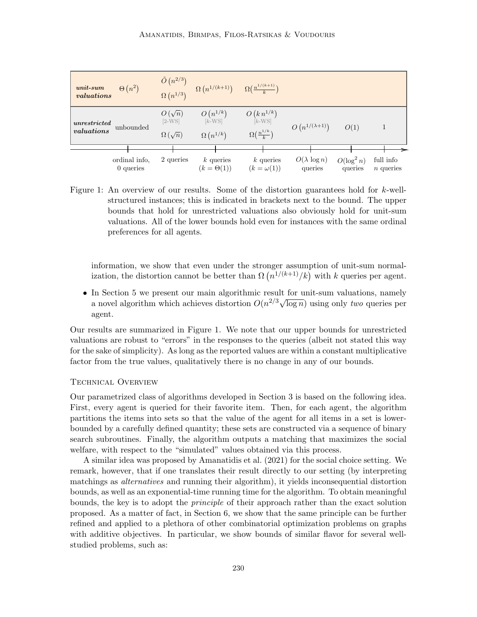| $unit-sum$<br>valuations | $\Theta(n^2)$                |                           |                                  | $\frac{\tilde{O}\left(n^{2/3}\right)}{\Omega\left(n^{1/3}\right)} = \Omega\left(n^{1/(k+1)}\right) = \Omega\left(\frac{n^{1/(k+1)}}{k}\right)$ |                                |                          |                          |  |
|--------------------------|------------------------------|---------------------------|----------------------------------|------------------------------------------------------------------------------------------------------------------------------------------------|--------------------------------|--------------------------|--------------------------|--|
| unrestricted             | unbounded                    | $O(\sqrt{n})$<br>$[2-WS]$ | $O(n^{1/k})$<br>$[k-WS]$         | $O\left(k\,n^{1/k}\right) \ \left[ \begin{smallmatrix} k\text{-WS} \end{smallmatrix} \right]$                                                  | $O(n^{1/(\lambda+1)})$         |                          |                          |  |
| valuations               |                              | $\Omega(\sqrt{n})$        | $\Omega(n^{1/k})$                | $\Omega(\frac{n^{1/k}}{h})$                                                                                                                    |                                | O(1)                     |                          |  |
|                          |                              |                           |                                  |                                                                                                                                                |                                |                          |                          |  |
|                          | ordinal info,<br>$0$ queries | 2 queries                 | $k$ queries<br>$(k = \Theta(1))$ | $k$ queries<br>$(k = \omega(1))$                                                                                                               | $O(\lambda \log n)$<br>queries | $O(\log^2 n)$<br>queries | full info<br>$n$ queries |  |

Figure 1: An overview of our results. Some of the distortion guarantees hold for k-wellstructured instances; this is indicated in brackets next to the bound. The upper bounds that hold for unrestricted valuations also obviously hold for unit-sum valuations. All of the lower bounds hold even for instances with the same ordinal preferences for all agents.

information, we show that even under the stronger assumption of unit-sum normalization, the distortion cannot be better than  $\Omega(n^{1/(k+1)}/k)$  with k queries per agent.

• In Section 5 we present our main algorithmic result for unit-sum valuations, namely a novel algorithm which achieves distortion  $O(n^{2/3}\sqrt{\log n})$  using only *two* queries per agent.

Our results are summarized in Figure 1. We note that our upper bounds for unrestricted valuations are robust to "errors" in the responses to the queries (albeit not stated this way for the sake of simplicity). As long as the reported values are within a constant multiplicative factor from the true values, qualitatively there is no change in any of our bounds.

### Technical Overview

Our parametrized class of algorithms developed in Section 3 is based on the following idea. First, every agent is queried for their favorite item. Then, for each agent, the algorithm partitions the items into sets so that the value of the agent for all items in a set is lowerbounded by a carefully defined quantity; these sets are constructed via a sequence of binary search subroutines. Finally, the algorithm outputs a matching that maximizes the social welfare, with respect to the "simulated" values obtained via this process.

A similar idea was proposed by Amanatidis et al. (2021) for the social choice setting. We remark, however, that if one translates their result directly to our setting (by interpreting matchings as *alternatives* and running their algorithm), it yields inconsequential distortion bounds, as well as an exponential-time running time for the algorithm. To obtain meaningful bounds, the key is to adopt the principle of their approach rather than the exact solution proposed. As a matter of fact, in Section 6, we show that the same principle can be further refined and applied to a plethora of other combinatorial optimization problems on graphs with additive objectives. In particular, we show bounds of similar flavor for several wellstudied problems, such as: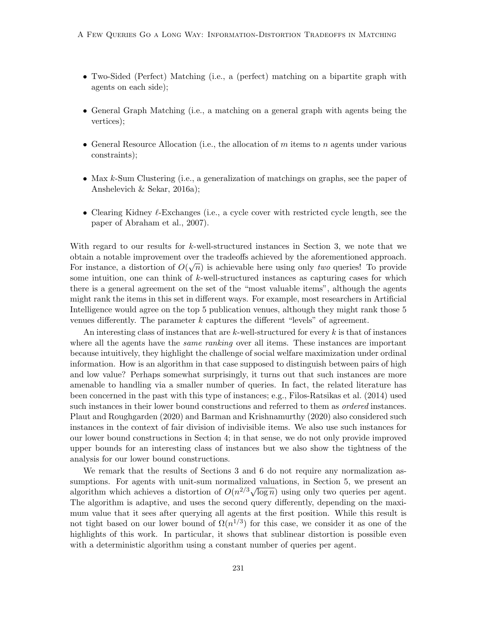- Two-Sided (Perfect) Matching (i.e., a (perfect) matching on a bipartite graph with agents on each side);
- General Graph Matching (i.e., a matching on a general graph with agents being the vertices);
- General Resource Allocation (i.e., the allocation of  $m$  items to  $n$  agents under various constraints);
- Max k-Sum Clustering (i.e., a generalization of matchings on graphs, see the paper of Anshelevich & Sekar, 2016a);
- Clearing Kidney  $\ell$ -Exchanges (i.e., a cycle cover with restricted cycle length, see the paper of Abraham et al., 2007).

With regard to our results for k-well-structured instances in Section 3, we note that we obtain a notable improvement over the tradeoffs achieved by the aforementioned approach. √ For instance, a distortion of  $O(\sqrt{n})$  is achievable here using only two queries! To provide some intuition, one can think of k-well-structured instances as capturing cases for which there is a general agreement on the set of the "most valuable items", although the agents might rank the items in this set in different ways. For example, most researchers in Artificial Intelligence would agree on the top 5 publication venues, although they might rank those 5 venues differently. The parameter  $k$  captures the different "levels" of agreement.

An interesting class of instances that are k-well-structured for every  $k$  is that of instances where all the agents have the *same ranking* over all items. These instances are important because intuitively, they highlight the challenge of social welfare maximization under ordinal information. How is an algorithm in that case supposed to distinguish between pairs of high and low value? Perhaps somewhat surprisingly, it turns out that such instances are more amenable to handling via a smaller number of queries. In fact, the related literature has been concerned in the past with this type of instances; e.g., Filos-Ratsikas et al. (2014) used such instances in their lower bound constructions and referred to them as *ordered* instances. Plaut and Roughgarden (2020) and Barman and Krishnamurthy (2020) also considered such instances in the context of fair division of indivisible items. We also use such instances for our lower bound constructions in Section 4; in that sense, we do not only provide improved upper bounds for an interesting class of instances but we also show the tightness of the analysis for our lower bound constructions.

We remark that the results of Sections 3 and 6 do not require any normalization assumptions. For agents with unit-sum normalized valuations, in Section 5, we present an sumptions. For agents with unit-sum normalized valuations, in Section 5, we present an algorithm which achieves a distortion of  $O(n^{2/3}\sqrt{\log n})$  using only two queries per agent. The algorithm is adaptive, and uses the second query differently, depending on the maximum value that it sees after querying all agents at the first position. While this result is not tight based on our lower bound of  $\Omega(n^{1/3})$  for this case, we consider it as one of the highlights of this work. In particular, it shows that sublinear distortion is possible even with a deterministic algorithm using a constant number of queries per agent.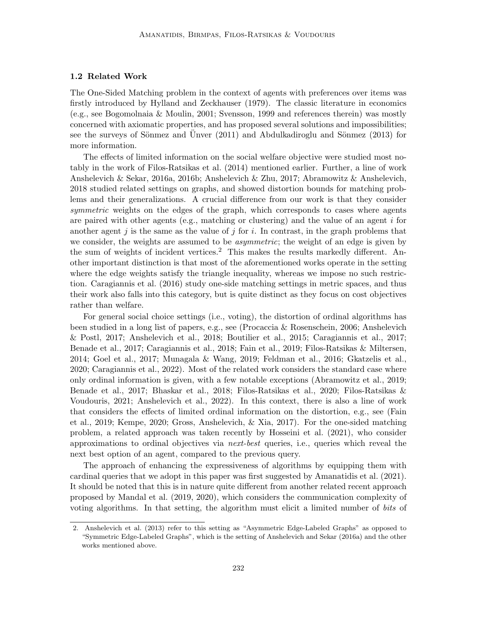#### 1.2 Related Work

The One-Sided Matching problem in the context of agents with preferences over items was firstly introduced by Hylland and Zeckhauser (1979). The classic literature in economics (e.g., see Bogomolnaia & Moulin, 2001; Svensson, 1999 and references therein) was mostly concerned with axiomatic properties, and has proposed several solutions and impossibilities; see the surveys of Sönmez and Unver  $(2011)$  and Abdulkadiroglu and Sönmez  $(2013)$  for more information.

The effects of limited information on the social welfare objective were studied most notably in the work of Filos-Ratsikas et al. (2014) mentioned earlier. Further, a line of work Anshelevich & Sekar, 2016a, 2016b; Anshelevich & Zhu, 2017; Abramowitz & Anshelevich, 2018 studied related settings on graphs, and showed distortion bounds for matching problems and their generalizations. A crucial difference from our work is that they consider symmetric weights on the edges of the graph, which corresponds to cases where agents are paired with other agents (e.g., matching or clustering) and the value of an agent  $i$  for another agent  $j$  is the same as the value of  $j$  for  $i$ . In contrast, in the graph problems that we consider, the weights are assumed to be *asymmetric*; the weight of an edge is given by the sum of weights of incident vertices.<sup>2</sup> This makes the results markedly different. Another important distinction is that most of the aforementioned works operate in the setting where the edge weights satisfy the triangle inequality, whereas we impose no such restriction. Caragiannis et al. (2016) study one-side matching settings in metric spaces, and thus their work also falls into this category, but is quite distinct as they focus on cost objectives rather than welfare.

For general social choice settings (i.e., voting), the distortion of ordinal algorithms has been studied in a long list of papers, e.g., see (Procaccia & Rosenschein, 2006; Anshelevich & Postl, 2017; Anshelevich et al., 2018; Boutilier et al., 2015; Caragiannis et al., 2017; Benade et al., 2017; Caragiannis et al., 2018; Fain et al., 2019; Filos-Ratsikas & Miltersen, 2014; Goel et al., 2017; Munagala & Wang, 2019; Feldman et al., 2016; Gkatzelis et al., 2020; Caragiannis et al., 2022). Most of the related work considers the standard case where only ordinal information is given, with a few notable exceptions (Abramowitz et al., 2019; Benade et al., 2017; Bhaskar et al., 2018; Filos-Ratsikas et al., 2020; Filos-Ratsikas & Voudouris, 2021; Anshelevich et al., 2022). In this context, there is also a line of work that considers the effects of limited ordinal information on the distortion, e.g., see (Fain et al., 2019; Kempe, 2020; Gross, Anshelevich, & Xia, 2017). For the one-sided matching problem, a related approach was taken recently by Hosseini et al. (2021), who consider approximations to ordinal objectives via next-best queries, i.e., queries which reveal the next best option of an agent, compared to the previous query.

The approach of enhancing the expressiveness of algorithms by equipping them with cardinal queries that we adopt in this paper was first suggested by Amanatidis et al. (2021). It should be noted that this is in nature quite different from another related recent approach proposed by Mandal et al. (2019, 2020), which considers the communication complexity of voting algorithms. In that setting, the algorithm must elicit a limited number of bits of

<sup>2.</sup> Anshelevich et al. (2013) refer to this setting as "Asymmetric Edge-Labeled Graphs" as opposed to "Symmetric Edge-Labeled Graphs", which is the setting of Anshelevich and Sekar (2016a) and the other works mentioned above.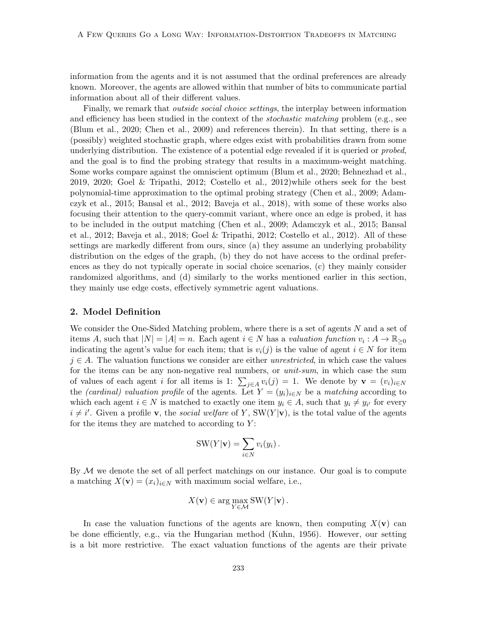information from the agents and it is not assumed that the ordinal preferences are already known. Moreover, the agents are allowed within that number of bits to communicate partial information about all of their different values.

Finally, we remark that outside social choice settings, the interplay between information and efficiency has been studied in the context of the *stochastic matching* problem (e.g., see (Blum et al., 2020; Chen et al., 2009) and references therein). In that setting, there is a (possibly) weighted stochastic graph, where edges exist with probabilities drawn from some underlying distribution. The existence of a potential edge revealed if it is queried or *probed*, and the goal is to find the probing strategy that results in a maximum-weight matching. Some works compare against the omniscient optimum (Blum et al., 2020; Behnezhad et al., 2019, 2020; Goel & Tripathi, 2012; Costello et al., 2012)while others seek for the best polynomial-time approximation to the optimal probing strategy (Chen et al., 2009; Adamczyk et al., 2015; Bansal et al., 2012; Baveja et al., 2018), with some of these works also focusing their attention to the query-commit variant, where once an edge is probed, it has to be included in the output matching (Chen et al., 2009; Adamczyk et al., 2015; Bansal et al., 2012; Baveja et al., 2018; Goel & Tripathi, 2012; Costello et al., 2012). All of these settings are markedly different from ours, since (a) they assume an underlying probability distribution on the edges of the graph, (b) they do not have access to the ordinal preferences as they do not typically operate in social choice scenarios, (c) they mainly consider randomized algorithms, and (d) similarly to the works mentioned earlier in this section, they mainly use edge costs, effectively symmetric agent valuations.

### 2. Model Definition

We consider the One-Sided Matching problem, where there is a set of agents  $N$  and a set of items A, such that  $|N| = |A| = n$ . Each agent  $i \in N$  has a valuation function  $v_i : A \to \mathbb{R}_{\geq 0}$ indicating the agent's value for each item; that is  $v_i(j)$  is the value of agent  $i \in N$  for item  $j \in A$ . The valuation functions we consider are either *unrestricted*, in which case the values for the items can be any non-negative real numbers, or *unit-sum*, in which case the sum of values of each agent i for all items is 1:  $\sum_{j\in A} v_i(j) = 1$ . We denote by  $\mathbf{v} = (v_i)_{i\in N}$ the *(cardinal) valuation profile* of the agents. Let  $Y = (y_i)_{i \in N}$  be a *matching* according to which each agent  $i \in N$  is matched to exactly one item  $y_i \in A$ , such that  $y_i \neq y_{i'}$  for every  $i \neq i'$ . Given a profile **v**, the social welfare of Y, SW(Y|**v**), is the total value of the agents for the items they are matched to according to  $Y$ :

$$
SW(Y|\mathbf{v}) = \sum_{i \in N} v_i(y_i).
$$

By  $M$  we denote the set of all perfect matchings on our instance. Our goal is to compute a matching  $X(\mathbf{v}) = (x_i)_{i \in \mathbb{N}}$  with maximum social welfare, i.e.,

$$
X(\mathbf{v}) \in \arg\max_{Y \in \mathcal{M}} \text{SW}(Y|\mathbf{v}).
$$

In case the valuation functions of the agents are known, then computing  $X(\mathbf{v})$  can be done efficiently, e.g., via the Hungarian method (Kuhn, 1956). However, our setting is a bit more restrictive. The exact valuation functions of the agents are their private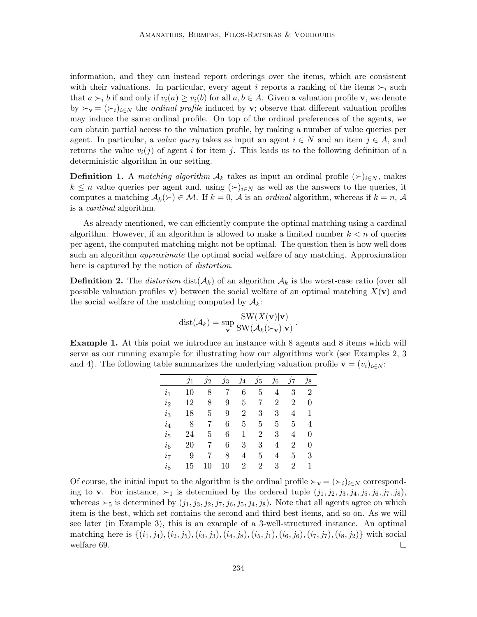information, and they can instead report orderings over the items, which are consistent with their valuations. In particular, every agent i reports a ranking of the items  $\succ_i$  such that  $a \succ_i b$  if and only if  $v_i(a) \ge v_i(b)$  for all  $a, b \in A$ . Given a valuation profile **v**, we denote by  $\succ_{\mathbf{v}} = (\succ_i)_{i\in\mathbb{N}}$  the *ordinal profile* induced by **v**; observe that different valuation profiles may induce the same ordinal profile. On top of the ordinal preferences of the agents, we can obtain partial access to the valuation profile, by making a number of value queries per agent. In particular, a value query takes as input an agent  $i \in N$  and an item  $j \in A$ , and returns the value  $v_i(j)$  of agent i for item j. This leads us to the following definition of a deterministic algorithm in our setting.

**Definition 1.** A *matching algorithm*  $\mathcal{A}_k$  takes as input an ordinal profile  $(\succ)_{i \in N}$ , makes  $k \leq n$  value queries per agent and, using  $(\succ)_{i\in\mathbb{N}}$  as well as the answers to the queries, it computes a matching  $A_k(\succ) \in \mathcal{M}$ . If  $k = 0$ , A is an ordinal algorithm, whereas if  $k = n$ , A is a cardinal algorithm.

As already mentioned, we can efficiently compute the optimal matching using a cardinal algorithm. However, if an algorithm is allowed to make a limited number  $k < n$  of queries per agent, the computed matching might not be optimal. The question then is how well does such an algorithm *approximate* the optimal social welfare of any matching. Approximation here is captured by the notion of *distortion*.

**Definition 2.** The *distortion* dist( $A_k$ ) of an algorithm  $A_k$  is the worst-case ratio (over all possible valuation profiles v) between the social welfare of an optimal matching  $X(\mathbf{v})$  and the social welfare of the matching computed by  $A_k$ :

$$
dist(\mathcal{A}_k) = \sup_{\mathbf{v}} \frac{\text{SW}(X(\mathbf{v})|\mathbf{v})}{\text{SW}(\mathcal{A}_k(\succ_{\mathbf{v}})|\mathbf{v})}.
$$

Example 1. At this point we introduce an instance with 8 agents and 8 items which will serve as our running example for illustrating how our algorithms work (see Examples 2, 3 and 4). The following table summarizes the underlying valuation profile  $\mathbf{v} = (v_i)_{i \in N}$ :

|                | $\jmath_1$ | $\jmath_2$ | $\jmath_3$ | $\jmath_4$ | $\jmath_5$     | $\jmath_6$     | $\jmath$ 7     | $\jmath_8$     |
|----------------|------------|------------|------------|------------|----------------|----------------|----------------|----------------|
| i <sub>1</sub> | 10         | 8          | 7          | 6          | 5              | 4              | 3              | $\overline{2}$ |
| $i_2$          | 12         | 8          | 9          | 5          | 7              | $\overline{2}$ | $\overline{2}$ | $\overline{0}$ |
| $i_3$          | 18         | 5          | 9          | 2          | 3              | 3              | 4              | 1              |
| $i_4$          | 8          | 7          | 6          | 5          | 5              | 5              | 5              | 4              |
| $i_{5}$        | 24         | 5          | 6          | 1          | $\overline{2}$ | 3              | 4              | $\overline{0}$ |
| $i_6$          | 20         | 7          | 6          | 3          | 3              | 4              | $\overline{2}$ | $\overline{0}$ |
| $i_7$          | 9          |            | 8          | 4          | 5              | 4              | 5              | 3              |
| $i_{8}$        | 15         | 10         | 10         | 2          | $\overline{2}$ | 3              | $\overline{2}$ | 1              |

Of course, the initial input to the algorithm is the ordinal profile  $\succ_{\mathbf{v}} = (\succ_i)_{i\in N}$  corresponding to **v**. For instance,  $\succ_1$  is determined by the ordered tuple  $(j_1, j_2, j_3, j_4, j_5, j_6, j_7, j_8)$ , whereas  $\succ_5$  is determined by  $(j_1, j_3, j_2, j_7, j_6, j_5, j_4, j_8)$ . Note that all agents agree on which item is the best, which set contains the second and third best items, and so on. As we will see later (in Example 3), this is an example of a 3-well-structured instance. An optimal matching here is  $\{(i_1, j_4), (i_2, j_5), (i_3, j_3), (i_4, j_8), (i_5, j_1), (i_6, j_6), (i_7, j_7), (i_8, j_2)\}\$  with social welfare 69.  $\Box$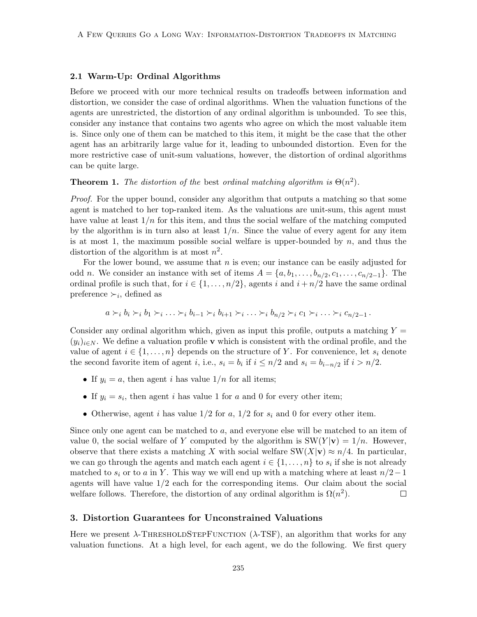# 2.1 Warm-Up: Ordinal Algorithms

Before we proceed with our more technical results on tradeoffs between information and distortion, we consider the case of ordinal algorithms. When the valuation functions of the agents are unrestricted, the distortion of any ordinal algorithm is unbounded. To see this, consider any instance that contains two agents who agree on which the most valuable item is. Since only one of them can be matched to this item, it might be the case that the other agent has an arbitrarily large value for it, leading to unbounded distortion. Even for the more restrictive case of unit-sum valuations, however, the distortion of ordinal algorithms can be quite large.

**Theorem 1.** The distortion of the best ordinal matching algorithm is  $\Theta(n^2)$ .

Proof. For the upper bound, consider any algorithm that outputs a matching so that some agent is matched to her top-ranked item. As the valuations are unit-sum, this agent must have value at least  $1/n$  for this item, and thus the social welfare of the matching computed by the algorithm is in turn also at least  $1/n$ . Since the value of every agent for any item is at most 1, the maximum possible social welfare is upper-bounded by  $n$ , and thus the distortion of the algorithm is at most  $n^2$ .

For the lower bound, we assume that  $n$  is even; our instance can be easily adjusted for odd *n*. We consider an instance with set of items  $A = \{a, b_1, \ldots, b_{n/2}, c_1, \ldots, c_{n/2-1}\}.$  The ordinal profile is such that, for  $i \in \{1, \ldots, n/2\}$ , agents i and  $i + n/2$  have the same ordinal preference  $\succ_i$ , defined as

$$
a \succ_i b_i \succ_i b_1 \succ_i \ldots \succ_i b_{i-1} \succ_i b_{i+1} \succ_i \ldots \succ_i b_{n/2} \succ_i c_1 \succ_i \ldots \succ_i c_{n/2-1}.
$$

Consider any ordinal algorithm which, given as input this profile, outputs a matching  $Y =$  $(y_i)_{i\in\mathbb{N}}$ . We define a valuation profile v which is consistent with the ordinal profile, and the value of agent  $i \in \{1, \ldots, n\}$  depends on the structure of Y. For convenience, let  $s_i$  denote the second favorite item of agent *i*, i.e.,  $s_i = b_i$  if  $i \leq n/2$  and  $s_i = b_{i-n/2}$  if  $i > n/2$ .

- If  $y_i = a$ , then agent i has value  $1/n$  for all items;
- If  $y_i = s_i$ , then agent i has value 1 for a and 0 for every other item;
- Otherwise, agent i has value  $1/2$  for a,  $1/2$  for  $s_i$  and 0 for every other item.

Since only one agent can be matched to a, and everyone else will be matched to an item of value 0, the social welfare of Y computed by the algorithm is  $SW(Y|\mathbf{v}) = 1/n$ . However, observe that there exists a matching X with social welfare SW(X|v)  $\approx n/4$ . In particular, we can go through the agents and match each agent  $i \in \{1, \ldots, n\}$  to  $s_i$  if she is not already matched to  $s_i$  or to a in Y. This way we will end up with a matching where at least  $n/2-1$ agents will have value  $1/2$  each for the corresponding items. Our claim about the social welfare follows. Therefore, the distortion of any ordinal algorithm is  $\Omega(n^2)$ .  $\Box$ 

### 3. Distortion Guarantees for Unconstrained Valuations

Here we present  $\lambda$ -THRESHOLDSTEPFUNCTION ( $\lambda$ -TSF), an algorithm that works for any valuation functions. At a high level, for each agent, we do the following. We first query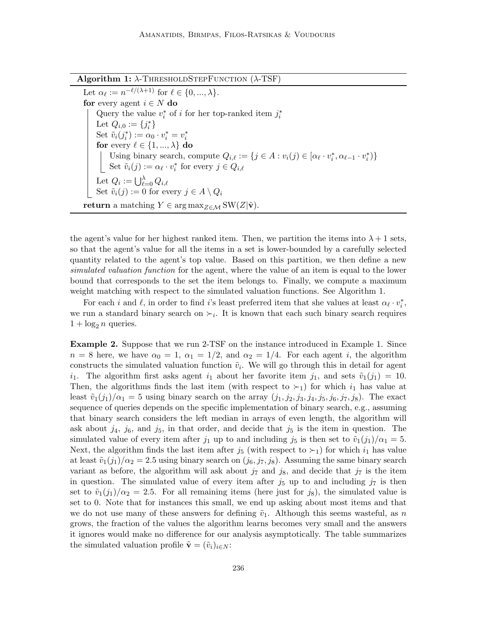Algorithm 1:  $\lambda$ -ThresholdStepFunction ( $\lambda$ -TSF)

Let  $\alpha_{\ell} := n^{-\ell/(\lambda+1)}$  for  $\ell \in \{0, ..., \lambda\}.$ for every agent  $i \in N$  do Query the value  $v_i^*$  of  $i$  for her top-ranked item  $j_i^*$ Let  $Q_{i,0} := \{j_i^*\}$ i Set  $\tilde{v}_i(j_i^*) := \alpha_0 \cdot v_i^* = v_i^*$ for every  $\ell \in \{1, ..., \lambda\}$  do Using binary search, compute  $Q_{i,\ell} := \{j \in A : v_i(j) \in [\alpha_\ell \cdot v_i^*, \alpha_{\ell-1} \cdot v_i^*)\}$ Set  $\tilde{v}_i(j) := \alpha_\ell \cdot v_i^*$  for every  $j \in Q_{i,\ell}$ Let  $Q_i := \bigcup_{\ell=0}^{\lambda} Q_{i,\ell}$ Set  $\tilde{v}_i(j) := 0$  for every  $j \in A \setminus Q_i$ return a matching  $Y \in \arg \max_{Z \in \mathcal{M}} SW(Z|\tilde{\mathbf{v}})$ .

the agent's value for her highest ranked item. Then, we partition the items into  $\lambda + 1$  sets, so that the agent's value for all the items in a set is lower-bounded by a carefully selected quantity related to the agent's top value. Based on this partition, we then define a new simulated valuation function for the agent, where the value of an item is equal to the lower bound that corresponds to the set the item belongs to. Finally, we compute a maximum weight matching with respect to the simulated valuation functions. See Algorithm 1.

For each i and  $\ell$ , in order to find i's least preferred item that she values at least  $\alpha_{\ell} \cdot v_i^*$ , we run a standard binary search on  $\succ_i$ . It is known that each such binary search requires  $1 + \log_2 n$  queries.

Example 2. Suppose that we run 2-TSF on the instance introduced in Example 1. Since  $n = 8$  here, we have  $\alpha_0 = 1$ ,  $\alpha_1 = 1/2$ , and  $\alpha_2 = 1/4$ . For each agent i, the algorithm constructs the simulated valuation function  $\tilde{v}_i$ . We will go through this in detail for agent  $i_1$ . The algorithm first asks agent  $i_1$  about her favorite item  $j_1$ , and sets  $\tilde{v}_1(j_1) = 10$ . Then, the algorithms finds the last item (with respect to  $\succ_1$ ) for which  $i_1$  has value at least  $\tilde{v}_1(j_1)/\alpha_1 = 5$  using binary search on the array  $(j_1, j_2, j_3, j_4, j_5, j_6, j_7, j_8)$ . The exact sequence of queries depends on the specific implementation of binary search, e.g., assuming that binary search considers the left median in arrays of even length, the algorithm will ask about  $j_4$ ,  $j_6$ , and  $j_5$ , in that order, and decide that  $j_5$  is the item in question. The simulated value of every item after  $j_1$  up to and including  $j_5$  is then set to  $\tilde{v}_1(j_1)/\alpha_1 = 5$ . Next, the algorithm finds the last item after  $j_5$  (with respect to  $\succ_1$ ) for which  $i_1$  has value at least  $\tilde{v}_1(j_1)/\alpha_2 = 2.5$  using binary search on  $(j_6, j_7, j_8)$ . Assuming the same binary search variant as before, the algorithm will ask about  $j_7$  and  $j_8$ , and decide that  $j_7$  is the item in question. The simulated value of every item after  $j_5$  up to and including  $j_7$  is then set to  $\tilde{v}_1(j_1)/\alpha_2 = 2.5$ . For all remaining items (here just for  $j_8$ ), the simulated value is set to 0. Note that for instances this small, we end up asking about most items and that we do not use many of these answers for defining  $\tilde{v}_1$ . Although this seems wasteful, as n grows, the fraction of the values the algorithm learns becomes very small and the answers it ignores would make no difference for our analysis asymptotically. The table summarizes the simulated valuation profile  $\tilde{\mathbf{v}} = (\tilde{v}_i)_{i \in N}$ :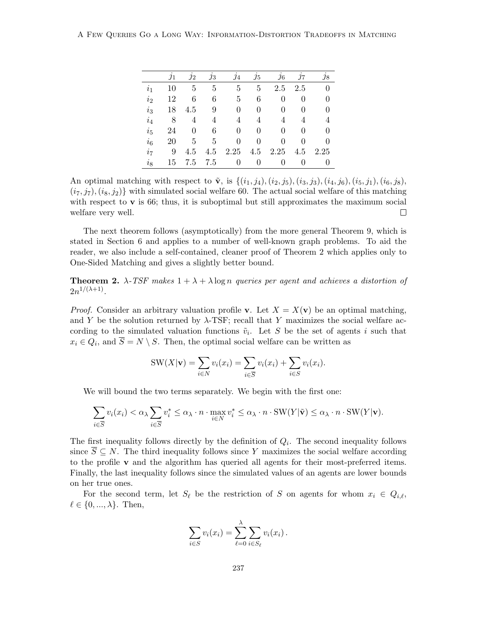|                | .11 | $\jmath_2$ | $\jmath_3$ | $\jmath_4$ | $\jmath_5$ | $j_{6}$ | $\jmath$ | $\jmath$ 8 |
|----------------|-----|------------|------------|------------|------------|---------|----------|------------|
| $\iota_1$      | 10  | 5          | 5          | 5          | 5          | 2.5     | 2.5      |            |
| i <sub>2</sub> | 12  | 6          | 6          | 5          | 6          | 0       | $\theta$ |            |
| $i_3$          | 18  | 4.5        | 9          | 0          | 0          | 0       | 0        | 0          |
| $i_4$          | 8   | 4          | 4          | 4          | 4          | 4       | 4        | 4          |
| $i_{5}$        | 24  | 0          | 6          | 0          | 0          | 0       | $\theta$ |            |
| $i_{6}$        | 20  | 5          | 5          | 0          | 0          | 0       | $\theta$ | 0          |
| i <sub>7</sub> | 9   | 4.5        | 4.5        | 2.25       | 4.5        | 2.25    | 4.5      | 2.25       |
| $i_{8}$        | 15  | 7.5        | 7.5        | 0          | 0          | 0       |          | 0          |

An optimal matching with respect to  $\tilde{\mathbf{v}}$ , is  $\{(i_1, j_4), (i_2, j_5), (i_3, j_3), (i_4, j_6), (i_5, j_1), (i_6, j_8),$  $(i_7, j_7), (i_8, j_2)$  with simulated social welfare 60. The actual social welfare of this matching with respect to  $\bf{v}$  is 66; thus, it is suboptimal but still approximates the maximum social welfare very well.  $\Box$ 

The next theorem follows (asymptotically) from the more general Theorem 9, which is stated in Section 6 and applies to a number of well-known graph problems. To aid the reader, we also include a self-contained, cleaner proof of Theorem 2 which applies only to One-Sided Matching and gives a slightly better bound.

**Theorem 2.**  $\lambda$ -TSF makes  $1 + \lambda + \lambda \log n$  queries per agent and achieves a distortion of  $2n^{1/(\lambda+1)}$ .

*Proof.* Consider an arbitrary valuation profile v. Let  $X = X(v)$  be an optimal matching, and Y be the solution returned by  $\lambda$ -TSF; recall that Y maximizes the social welfare according to the simulated valuation functions  $\tilde{v}_i$ . Let S be the set of agents i such that  $x_i \in Q_i$ , and  $\overline{S} = N \setminus S$ . Then, the optimal social welfare can be written as

$$
SW(X|\mathbf{v}) = \sum_{i \in N} v_i(x_i) = \sum_{i \in \overline{S}} v_i(x_i) + \sum_{i \in S} v_i(x_i).
$$

We will bound the two terms separately. We begin with the first one:

$$
\sum_{i \in \overline{S}} v_i(x_i) < \alpha_\lambda \sum_{i \in \overline{S}} v_i^* \leq \alpha_\lambda \cdot n \cdot \max_{i \in \overline{N}} v_i^* \leq \alpha_\lambda \cdot n \cdot \text{SW}(Y | \tilde{\mathbf{v}}) \leq \alpha_\lambda \cdot n \cdot \text{SW}(Y | \mathbf{v}).
$$

The first inequality follows directly by the definition of  $Q_i$ . The second inequality follows since  $\overline{S} \subseteq N$ . The third inequality follows since Y maximizes the social welfare according to the profile v and the algorithm has queried all agents for their most-preferred items. Finally, the last inequality follows since the simulated values of an agents are lower bounds on her true ones.

For the second term, let  $S_\ell$  be the restriction of S on agents for whom  $x_i \in Q_{i,\ell}$ ,  $\ell \in \{0, ..., \lambda\}$ . Then,

$$
\sum_{i \in S} v_i(x_i) = \sum_{\ell=0}^{\lambda} \sum_{i \in S_{\ell}} v_i(x_i).
$$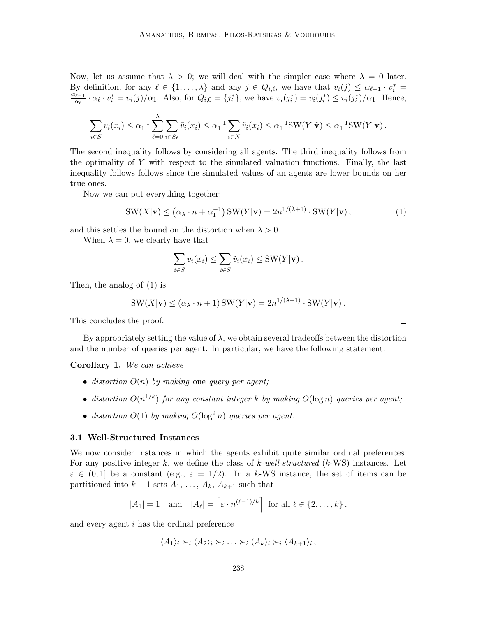Now, let us assume that  $\lambda > 0$ ; we will deal with the simpler case where  $\lambda = 0$  later. By definition, for any  $\ell \in \{1, ..., \lambda\}$  and any  $j \in Q_{i,\ell}$ , we have that  $v_i(j) \leq \alpha_{\ell-1} \cdot v_i^* =$  $\alpha_{\ell-1}$  $\frac{\partial u}{\partial \alpha_i} \cdot \alpha_i \cdot v_i^* = \tilde{v}_i(j)/\alpha_1$ . Also, for  $Q_{i,0} = \{j_i^*\}$ , we have  $v_i(j_i^*) = \tilde{v}_i(j_i^*) \leq \tilde{v}_i(j_i^*)/\alpha_1$ . Hence,

$$
\sum_{i\in S} v_i(x_i) \leq \alpha_1^{-1} \sum_{\ell=0}^{\infty} \sum_{i\in S_{\ell}} \tilde{v}_i(x_i) \leq \alpha_1^{-1} \sum_{i\in N} \tilde{v}_i(x_i) \leq \alpha_1^{-1} \text{SW}(Y|\tilde{\mathbf{v}}) \leq \alpha_1^{-1} \text{SW}(Y|\mathbf{v}).
$$

The second inequality follows by considering all agents. The third inequality follows from the optimality of Y with respect to the simulated valuation functions. Finally, the last inequality follows follows since the simulated values of an agents are lower bounds on her true ones.

Now we can put everything together:

λ

$$
SW(X|\mathbf{v}) \le (\alpha_{\lambda} \cdot n + \alpha_1^{-1}) SW(Y|\mathbf{v}) = 2n^{1/(\lambda+1)} \cdot SW(Y|\mathbf{v}), \qquad (1)
$$

and this settles the bound on the distortion when  $\lambda > 0$ .

When  $\lambda = 0$ , we clearly have that

$$
\sum_{i \in S} v_i(x_i) \leq \sum_{i \in S} \tilde{v}_i(x_i) \leq \text{SW}(Y|\mathbf{v}).
$$

Then, the analog of (1) is

$$
SW(X|\mathbf{v}) \le (\alpha_{\lambda} \cdot n + 1) SW(Y|\mathbf{v}) = 2n^{1/(\lambda+1)} \cdot SW(Y|\mathbf{v}).
$$

This concludes the proof.

By appropriately setting the value of  $\lambda$ , we obtain several tradeoffs between the distortion and the number of queries per agent. In particular, we have the following statement.

Corollary 1. We can achieve

- distortion  $O(n)$  by making one query per agent;
- distortion  $O(n^{1/k})$  for any constant integer k by making  $O(\log n)$  queries per agent;
- distortion  $O(1)$  by making  $O(\log^2 n)$  queries per agent.

#### 3.1 Well-Structured Instances

We now consider instances in which the agents exhibit quite similar ordinal preferences. For any positive integer k, we define the class of k-well-structured  $(k$ -WS) instances. Let  $\varepsilon \in (0,1]$  be a constant (e.g.,  $\varepsilon = 1/2$ ). In a k-WS instance, the set of items can be partitioned into  $k + 1$  sets  $A_1, \ldots, A_k, A_{k+1}$  such that

$$
|A_1| = 1
$$
 and  $|A_{\ell}| = \left[\varepsilon \cdot n^{(\ell-1)/k}\right]$  for all  $\ell \in \{2, ..., k\}$ ,

and every agent i has the ordinal preference

 $\langle A_1 \rangle_i \succ_i \langle A_2 \rangle_i \succ_i \ldots \succ_i \langle A_k \rangle_i \succ_i \langle A_{k+1} \rangle_i,$ 

 $\Box$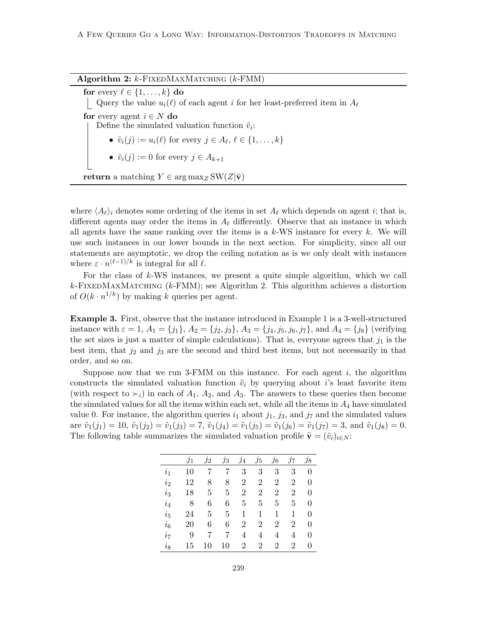Algorithm 2:  $k$ -FixedMaxMatching ( $k$ -FMM)

for every  $\ell \in \{1, \ldots, k\}$  do Query the value  $u_i(\ell)$  of each agent i for her least-preferred item in  $A_\ell$ for every agent  $i \in N$  do Define the simulated valuation function  $\tilde{v}_i$ : •  $\tilde{v}_i(j) := u_i(\ell)$  for every  $j \in A_\ell, \ell \in \{1, \ldots, k\}$ •  $\tilde{v}_i(j) := 0$  for every  $j \in A_{k+1}$ return a matching  $Y \in \arg \max_{Z} SW(Z|\tilde{\mathbf{v}})$ 

where  $\langle A_\ell \rangle_i$  denotes some ordering of the items in set  $A_\ell$  which depends on agent i; that is, different agents may order the items in  $A_\ell$  differently. Observe that an instance in which all agents have the same ranking over the items is a  $k$ -WS instance for every k. We will use such instances in our lower bounds in the next section. For simplicity, since all our statements are asymptotic, we drop the ceiling notation as is we only dealt with instances where  $\varepsilon \cdot n^{(\ell-1)/k}$  is integral for all  $\ell$ .

For the class of  $k$ -WS instances, we present a quite simple algorithm, which we call  $k$ -FIXEDMAXMATCHING ( $k$ -FMM); see Algorithm 2. This algorithm achieves a distortion of  $O(k \cdot n^{1/k})$  by making k queries per agent.

Example 3. First, observe that the instance introduced in Example 1 is a 3-well-structured instance with  $\varepsilon = 1$ ,  $A_1 = \{j_1\}$ ,  $A_2 = \{j_2, j_3\}$ ,  $A_3 = \{j_4, j_5, j_6, j_7\}$ , and  $A_4 = \{j_8\}$  (verifying the set sizes is just a matter of simple calculations). That is, everyone agrees that  $j_1$  is the best item, that  $j_2$  and  $j_3$  are the second and third best items, but not necessarily in that order, and so on.

Suppose now that we run 3-FMM on this instance. For each agent  $i$ , the algorithm constructs the simulated valuation function  $\tilde{v}_i$  by querying about i's least favorite item (with respect to  $\succ_i$ ) in each of  $A_1$ ,  $A_2$ , and  $A_3$ . The answers to these queries then become the simulated values for all the items within each set, while all the items in  $A_4$  have simulated value 0. For instance, the algorithm queries  $i_1$  about  $j_1$ ,  $j_3$ , and  $j_7$  and the simulated values are  $\tilde{v}_1(j_1) = 10$ ,  $\tilde{v}_1(j_2) = \tilde{v}_1(j_3) = 7$ ,  $\tilde{v}_1(j_4) = \tilde{v}_1(j_5) = \tilde{v}_1(j_6) = \tilde{v}_1(j_7) = 3$ , and  $\tilde{v}_1(j_8) = 0$ . The following table summarizes the simulated valuation profile  $\tilde{\mathbf{v}} = (\tilde{v}_i)_{i \in N}$ :

|                | $\jmath_1$ | $j_2$ | $\jmath_3$ | $\jmath_4$     | $\jmath_5$     | $\jmath_6$     | $\jmath$ 7 | $j_{8}$        |
|----------------|------------|-------|------------|----------------|----------------|----------------|------------|----------------|
| $\dot{i}_1$    | 10         |       | 7          | 3              | 3              | 3              | 3          | $\overline{0}$ |
| $i_2$          | 12         | 8     | 8          | $\overline{2}$ | $\overline{2}$ | $\overline{2}$ | 2          | 0              |
| $i_3$          | 18         | 5     | 5          | $\overline{2}$ | $\overline{2}$ | $\overline{2}$ | 2          | 0              |
| $i_4$          | 8          | 6     | 6          | 5              | 5              | 5              | 5          | 0              |
| $i_{5}$        | 24         | 5     | 5          | 1              | 1              | 1              | 1          | 0              |
| $i_6$          | 20         | 6     | 6          | 2              | $\overline{2}$ | $\overline{2}$ | 2          | $\overline{0}$ |
| i <sub>7</sub> | 9          |       | 7          | 4              | 4              | 4              | 4          | 0              |
| $i_{8}$        | 15         | 10    | 10         | 2              | $\overline{2}$ | $\overline{2}$ | 2          | 0              |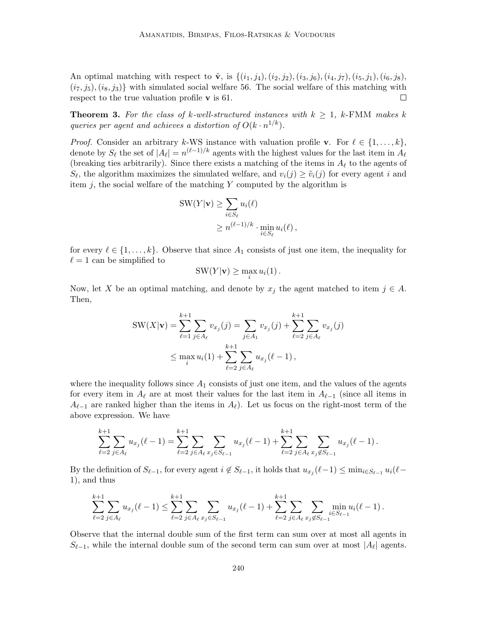An optimal matching with respect to  $\tilde{\mathbf{v}}$ , is  $\{(i_1, j_4), (i_2, j_2), (i_3, j_6), (i_4, j_7), (i_5, j_1), (i_6, j_8),$  $(i_7, j_5), (i_8, j_3)$  with simulated social welfare 56. The social welfare of this matching with respect to the true valuation profile  $\bf{v}$  is 61.  $\Box$ 

**Theorem 3.** For the class of k-well-structured instances with  $k \geq 1$ , k-FMM makes k queries per agent and achieves a distortion of  $O(k \cdot n^{1/k})$ .

*Proof.* Consider an arbitrary k-WS instance with valuation profile **v**. For  $\ell \in \{1, \ldots, k\}$ , denote by  $S_\ell$  the set of  $|A_\ell| = n^{(\ell-1)/k}$  agents with the highest values for the last item in  $A_\ell$ (breaking ties arbitrarily). Since there exists a matching of the items in  $A_\ell$  to the agents of  $S_{\ell}$ , the algorithm maximizes the simulated welfare, and  $v_i(j) \geq \tilde{v}_i(j)$  for every agent i and item  $j$ , the social welfare of the matching Y computed by the algorithm is

$$
SW(Y|\mathbf{v}) \ge \sum_{i \in S_{\ell}} u_i(\ell)
$$
  
 
$$
\ge n^{(\ell-1)/k} \cdot \min_{i \in S_{\ell}} u_i(\ell),
$$

for every  $\ell \in \{1, \ldots, k\}$ . Observe that since  $A_1$  consists of just one item, the inequality for  $\ell = 1$  can be simplified to

$$
SW(Y|\mathbf{v}) \ge \max_i u_i(1).
$$

Now, let X be an optimal matching, and denote by  $x_j$  the agent matched to item  $j \in A$ . Then,

$$
SW(X|\mathbf{v}) = \sum_{\ell=1}^{k+1} \sum_{j \in A_{\ell}} v_{x_j}(j) = \sum_{j \in A_1} v_{x_j}(j) + \sum_{\ell=2}^{k+1} \sum_{j \in A_{\ell}} v_{x_j}(j)
$$
  

$$
\leq \max_i u_i(1) + \sum_{\ell=2}^{k+1} \sum_{j \in A_{\ell}} u_{x_j}(\ell-1),
$$

where the inequality follows since  $A_1$  consists of just one item, and the values of the agents for every item in  $A_\ell$  are at most their values for the last item in  $A_{\ell-1}$  (since all items in  $A_{\ell-1}$  are ranked higher than the items in  $A_{\ell}$ ). Let us focus on the right-most term of the above expression. We have

$$
\sum_{\ell=2}^{k+1} \sum_{j \in A_{\ell}} u_{x_j}(\ell-1) = \sum_{\ell=2}^{k+1} \sum_{j \in A_{\ell}} \sum_{x_j \in S_{\ell-1}} u_{x_j}(\ell-1) + \sum_{\ell=2}^{k+1} \sum_{j \in A_{\ell}} \sum_{x_j \notin S_{\ell-1}} u_{x_j}(\ell-1).
$$

By the definition of  $S_{\ell-1}$ , for every agent  $i \notin S_{\ell-1}$ , it holds that  $u_{x_j}(\ell-1) \le \min_{i \in S_{\ell-1}} u_i(\ell-1)$ 1), and thus

$$
\sum_{\ell=2}^{k+1} \sum_{j \in A_{\ell}} u_{x_j}(\ell-1) \leq \sum_{\ell=2}^{k+1} \sum_{j \in A_{\ell}} \sum_{x_j \in S_{\ell-1}} u_{x_j}(\ell-1) + \sum_{\ell=2}^{k+1} \sum_{j \in A_{\ell}} \sum_{x_j \notin S_{\ell-1}} \min_{i \in S_{\ell-1}} u_i(\ell-1).
$$

Observe that the internal double sum of the first term can sum over at most all agents in  $S_{\ell-1}$ , while the internal double sum of the second term can sum over at most  $|A_{\ell}|$  agents.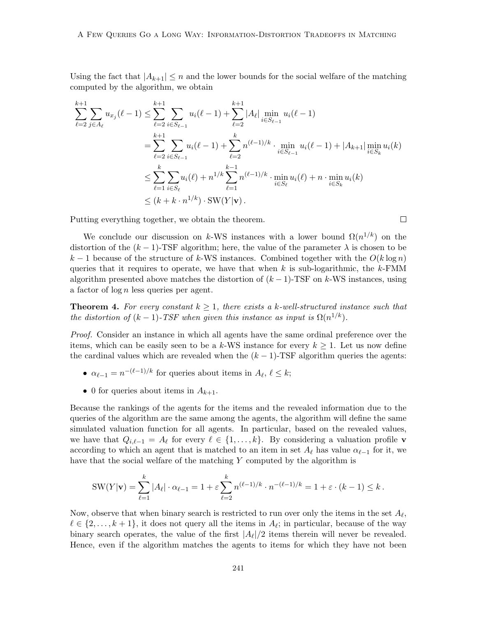Using the fact that  $|A_{k+1}| \leq n$  and the lower bounds for the social welfare of the matching computed by the algorithm, we obtain

$$
\sum_{\ell=2}^{k+1} \sum_{j \in A_{\ell}} u_{x_j}(\ell-1) \leq \sum_{\ell=2}^{k+1} \sum_{i \in S_{\ell-1}} u_i(\ell-1) + \sum_{\ell=2}^{k+1} |A_{\ell}| \min_{i \in S_{\ell-1}} u_i(\ell-1)
$$
  
= 
$$
\sum_{\ell=2}^{k+1} \sum_{i \in S_{\ell-1}} u_i(\ell-1) + \sum_{\ell=2}^{k} n^{(\ell-1)/k} \cdot \min_{i \in S_{\ell-1}} u_i(\ell-1) + |A_{k+1}| \min_{i \in S_k} u_i(k)
$$
  

$$
\leq \sum_{\ell=1}^{k} \sum_{i \in S_{\ell}} u_i(\ell) + n^{1/k} \sum_{\ell=1}^{k-1} n^{(\ell-1)/k} \cdot \min_{i \in S_{\ell}} u_i(\ell) + n \cdot \min_{i \in S_k} u_i(k)
$$
  

$$
\leq (k + k \cdot n^{1/k}) \cdot \text{SW}(Y|\mathbf{v}).
$$

Putting everything together, we obtain the theorem.

We conclude our discussion on k-WS instances with a lower bound  $\Omega(n^{1/k})$  on the distortion of the  $(k-1)$ -TSF algorithm; here, the value of the parameter  $\lambda$  is chosen to be k − 1 because of the structure of k-WS instances. Combined together with the  $O(k \log n)$ queries that it requires to operate, we have that when k is sub-logarithmic, the k-FMM algorithm presented above matches the distortion of  $(k-1)$ -TSF on k-WS instances, using a factor of log n less queries per agent.

**Theorem 4.** For every constant  $k \geq 1$ , there exists a k-well-structured instance such that the distortion of  $(k-1)$ -TSF when given this instance as input is  $\Omega(n^{1/k})$ .

Proof. Consider an instance in which all agents have the same ordinal preference over the items, which can be easily seen to be a k-WS instance for every  $k \geq 1$ . Let us now define the cardinal values which are revealed when the  $(k - 1)$ -TSF algorithm queries the agents:

- $\alpha_{\ell-1} = n^{-(\ell-1)/k}$  for queries about items in  $A_{\ell}, \ell \leq k$ ;
- 0 for queries about items in  $A_{k+1}$ .

Because the rankings of the agents for the items and the revealed information due to the queries of the algorithm are the same among the agents, the algorithm will define the same simulated valuation function for all agents. In particular, based on the revealed values, we have that  $Q_{i,\ell-1} = A_{\ell}$  for every  $\ell \in \{1, \ldots, k\}$ . By considering a valuation profile v according to which an agent that is matched to an item in set  $A_\ell$  has value  $\alpha_{\ell-1}$  for it, we have that the social welfare of the matching Y computed by the algorithm is

SW(Y|**v**) = 
$$
\sum_{\ell=1}^k |A_{\ell}| \cdot \alpha_{\ell-1} = 1 + \varepsilon \sum_{\ell=2}^k n^{(\ell-1)/k} \cdot n^{-(\ell-1)/k} = 1 + \varepsilon \cdot (k-1) \le k
$$
.

Now, observe that when binary search is restricted to run over only the items in the set  $A_{\ell}$ ,  $\ell \in \{2, \ldots, k + 1\}$ , it does not query all the items in  $A_{\ell}$ ; in particular, because of the way binary search operates, the value of the first  $|A_{\ell}|/2$  items therein will never be revealed. Hence, even if the algorithm matches the agents to items for which they have not been

 $\Box$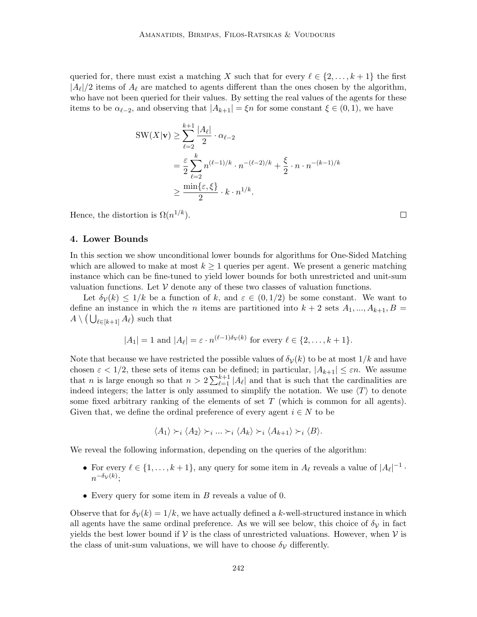queried for, there must exist a matching X such that for every  $\ell \in \{2, \ldots, k + 1\}$  the first  $|A_{\ell}|/2$  items of  $A_{\ell}$  are matched to agents different than the ones chosen by the algorithm, who have not been queried for their values. By setting the real values of the agents for these items to be  $\alpha_{\ell-2}$ , and observing that  $|A_{k+1}| = \xi n$  for some constant  $\xi \in (0,1)$ , we have

$$
SW(X|\mathbf{v}) \ge \sum_{\ell=2}^{k+1} \frac{|A_{\ell}|}{2} \cdot \alpha_{\ell-2}
$$
  
= 
$$
\frac{\varepsilon}{2} \sum_{\ell=2}^{k} n^{(\ell-1)/k} \cdot n^{-(\ell-2)/k} + \frac{\xi}{2} \cdot n \cdot n^{-(k-1)/k}
$$
  

$$
\ge \frac{\min\{\varepsilon, \xi\}}{2} \cdot k \cdot n^{1/k}.
$$

Hence, the distortion is  $\Omega(n^{1/k})$ .

### 4. Lower Bounds

In this section we show unconditional lower bounds for algorithms for One-Sided Matching which are allowed to make at most  $k \geq 1$  queries per agent. We present a generic matching instance which can be fine-tuned to yield lower bounds for both unrestricted and unit-sum valuation functions. Let  $V$  denote any of these two classes of valuation functions.

Let  $\delta_{\mathcal{V}}(k) \leq 1/k$  be a function of k, and  $\varepsilon \in (0,1/2)$  be some constant. We want to define an instance in which the *n* items are partitioned into  $k + 2$  sets  $A_1, ..., A_{k+1}, B =$  $A \setminus (\bigcup_{\ell \in [k+1]} A_{\ell})$  such that

$$
|A_1| = 1
$$
 and  $|A_\ell| = \varepsilon \cdot n^{(\ell-1)\delta_{\mathcal{V}}(k)}$  for every  $\ell \in \{2, ..., k+1\}$ .

Note that because we have restricted the possible values of  $\delta_{\mathcal{V}}(k)$  to be at most  $1/k$  and have chosen  $\varepsilon < 1/2$ , these sets of items can be defined; in particular,  $|A_{k+1}| \leq \varepsilon n$ . We assume that *n* is large enough so that  $n > 2 \sum_{\ell=1}^{k+1} |A_{\ell}|$  and that is such that the cardinalities are indeed integers; the latter is only assumed to simplify the notation. We use  $\langle T \rangle$  to denote some fixed arbitrary ranking of the elements of set  $T$  (which is common for all agents). Given that, we define the ordinal preference of every agent  $i \in N$  to be

$$
\langle A_1 \rangle \succ_i \langle A_2 \rangle \succ_i \ldots \succ_i \langle A_k \rangle \succ_i \langle A_{k+1} \rangle \succ_i \langle B \rangle.
$$

We reveal the following information, depending on the queries of the algorithm:

- For every  $\ell \in \{1, \ldots, k+1\}$ , any query for some item in  $A_{\ell}$  reveals a value of  $|A_{\ell}|^{-1}$ .  $n^{-\delta_{\mathcal{V}}(k)}$ ;
- Every query for some item in  $B$  reveals a value of 0.

Observe that for  $\delta y(k) = 1/k$ , we have actually defined a k-well-structured instance in which all agents have the same ordinal preference. As we will see below, this choice of  $\delta_{\mathcal{V}}$  in fact yields the best lower bound if  $V$  is the class of unrestricted valuations. However, when  $V$  is the class of unit-sum valuations, we will have to choose  $\delta_{\mathcal{V}}$  differently.

 $\Box$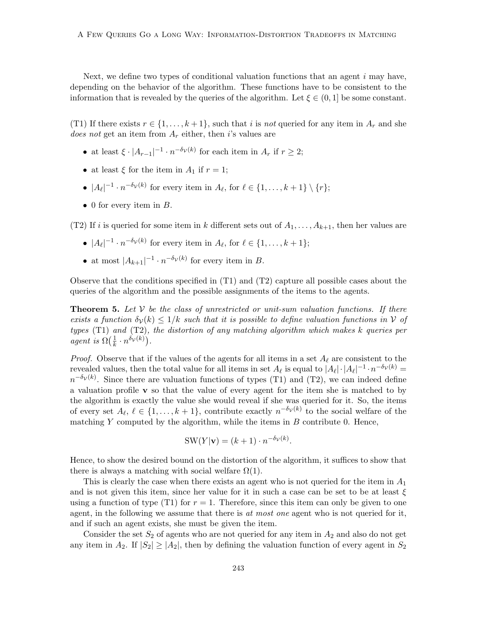Next, we define two types of conditional valuation functions that an agent  $i$  may have, depending on the behavior of the algorithm. These functions have to be consistent to the information that is revealed by the queries of the algorithm. Let  $\xi \in (0, 1]$  be some constant.

(T1) If there exists  $r \in \{1, ..., k+1\}$ , such that i is not queried for any item in  $A_r$  and she does not get an item from  $A_r$  either, then i's values are

- at least  $\xi \cdot |A_{r-1}|^{-1} \cdot n^{-\delta_{\mathcal{V}}(k)}$  for each item in  $A_r$  if  $r \geq 2$ ;
- at least  $\xi$  for the item in  $A_1$  if  $r = 1$ ;
- $|A_{\ell}|^{-1} \cdot n^{-\delta_{\mathcal{V}}(k)}$  for every item in  $A_{\ell}$ , for  $\ell \in \{1, \ldots, k+1\} \setminus \{r\};$
- 0 for every item in  $B$ .

(T2) If i is queried for some item in k different sets out of  $A_1, \ldots, A_{k+1}$ , then her values are

- $|A_{\ell}|^{-1} \cdot n^{-\delta_{\mathcal{V}}(k)}$  for every item in  $A_{\ell}$ , for  $\ell \in \{1, \ldots, k+1\};$
- at most  $|A_{k+1}|^{-1} \cdot n^{-\delta_{\mathcal{V}}(k)}$  for every item in B.

Observe that the conditions specified in (T1) and (T2) capture all possible cases about the queries of the algorithm and the possible assignments of the items to the agents.

**Theorem 5.** Let  $V$  be the class of unrestricted or unit-sum valuation functions. If there exists a function  $\delta_{\mathcal{V}}(k) \leq 1/k$  such that it is possible to define valuation functions in V of types  $(T1)$  and  $(T2)$ , the distortion of any matching algorithm which makes k queries per agent is  $\Omega(\frac{1}{k})$  $\frac{1}{k} \cdot n^{\delta_{\mathcal{V}}(k)}$ .

*Proof.* Observe that if the values of the agents for all items in a set  $A_\ell$  are consistent to the revealed values, then the total value for all items in set  $A_\ell$  is equal to  $|A_\ell| \cdot |A_\ell|^{-1} \cdot n^{-\delta_{\mathcal{V}}(k)} =$  $n^{-\delta_{\mathcal{V}}(k)}$ . Since there are valuation functions of types (T1) and (T2), we can indeed define a valuation profile  $\bf{v}$  so that the value of every agent for the item she is matched to by the algorithm is exactly the value she would reveal if she was queried for it. So, the items of every set  $A_{\ell}, \ell \in \{1, \ldots, k+1\}$ , contribute exactly  $n^{-\delta_{\mathcal{V}}(k)}$  to the social welfare of the matching  $Y$  computed by the algorithm, while the items in  $B$  contribute 0. Hence,

$$
SW(Y|\mathbf{v}) = (k+1) \cdot n^{-\delta_{\mathcal{V}}(k)}.
$$

Hence, to show the desired bound on the distortion of the algorithm, it suffices to show that there is always a matching with social welfare  $\Omega(1)$ .

This is clearly the case when there exists an agent who is not queried for the item in  $A_1$ and is not given this item, since her value for it in such a case can be set to be at least  $\xi$ using a function of type (T1) for  $r = 1$ . Therefore, since this item can only be given to one agent, in the following we assume that there is at most one agent who is not queried for it, and if such an agent exists, she must be given the item.

Consider the set  $S_2$  of agents who are not queried for any item in  $A_2$  and also do not get any item in  $A_2$ . If  $|S_2| \geq |A_2|$ , then by defining the valuation function of every agent in  $S_2$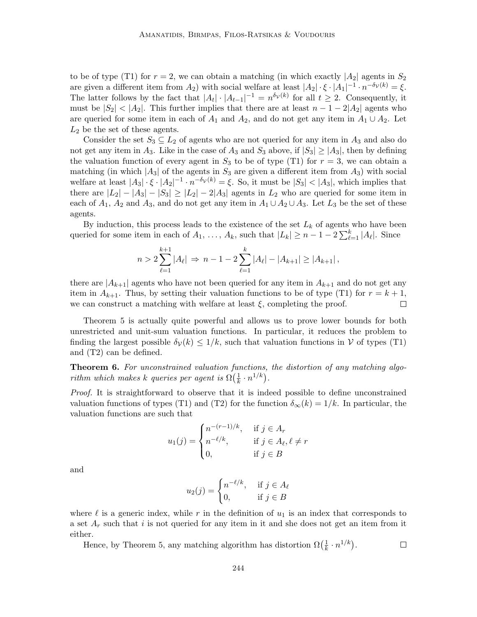to be of type (T1) for  $r = 2$ , we can obtain a matching (in which exactly  $|A_2|$  agents in  $S_2$ are given a different item from  $A_2$ ) with social welfare at least  $|A_2| \cdot \xi \cdot |A_1|^{-1} \cdot n^{-\delta_{\mathcal{V}}(k)} = \xi$ . The latter follows by the fact that  $|A_t| \cdot |A_{t-1}|^{-1} = n^{\delta_{\mathcal{V}}(k)}$  for all  $t \geq 2$ . Consequently, it must be  $|S_2| < |A_2|$ . This further implies that there are at least  $n-1-2|A_2|$  agents who are queried for some item in each of  $A_1$  and  $A_2$ , and do not get any item in  $A_1 \cup A_2$ . Let  $L_2$  be the set of these agents.

Consider the set  $S_3 \subseteq L_2$  of agents who are not queried for any item in  $A_3$  and also do not get any item in  $A_3$ . Like in the case of  $A_3$  and  $S_3$  above, if  $|S_3| \geq |A_3|$ , then by defining the valuation function of every agent in  $S_3$  to be of type (T1) for  $r = 3$ , we can obtain a matching (in which  $|A_3|$  of the agents in  $S_3$  are given a different item from  $A_3$ ) with social welfare at least  $|A_3| \cdot \xi \cdot |A_2|^{-1} \cdot n^{-\delta_{\mathcal{V}}(k)} = \xi$ . So, it must be  $|S_3| < |A_3|$ , which implies that there are  $|L_2| - |A_3| - |S_3| \ge |L_2| - 2|A_3|$  agents in  $L_2$  who are queried for some item in each of  $A_1$ ,  $A_2$  and  $A_3$ , and do not get any item in  $A_1 \cup A_2 \cup A_3$ . Let  $L_3$  be the set of these agents.

By induction, this process leads to the existence of the set  $L_k$  of agents who have been queried for some item in each of  $A_1, \ldots, A_k$ , such that  $|L_k| \geq n - 1 - 2 \sum_{\ell=1}^k |A_\ell|$ . Since

$$
n > 2 \sum_{\ell=1}^{k+1} |A_{\ell}| \Rightarrow n - 1 - 2 \sum_{\ell=1}^{k} |A_{\ell}| - |A_{k+1}| \ge |A_{k+1}|,
$$

there are  $|A_{k+1}|$  agents who have not been queried for any item in  $A_{k+1}$  and do not get any item in  $A_{k+1}$ . Thus, by setting their valuation functions to be of type (T1) for  $r = k+1$ , we can construct a matching with welfare at least  $\xi$ , completing the proof.  $\Box$ 

Theorem 5 is actually quite powerful and allows us to prove lower bounds for both unrestricted and unit-sum valuation functions. In particular, it reduces the problem to finding the largest possible  $\delta_{\mathcal{V}}(k) \leq 1/k$ , such that valuation functions in V of types (T1) and (T2) can be defined.

Theorem 6. For unconstrained valuation functions, the distortion of any matching algorithm which makes k queries per agent is  $\Omega(\frac{1}{k})$  $\frac{1}{k} \cdot n^{1/k}$ .

Proof. It is straightforward to observe that it is indeed possible to define unconstrained valuation functions of types (T1) and (T2) for the function  $\delta_{\infty}(k) = 1/k$ . In particular, the valuation functions are such that

$$
u_1(j) = \begin{cases} n^{-(r-1)/k}, & \text{if } j \in A_r \\ n^{-\ell/k}, & \text{if } j \in A_\ell, \ell \neq r \\ 0, & \text{if } j \in B \end{cases}
$$

and

$$
u_2(j) = \begin{cases} n^{-\ell/k}, & \text{if } j \in A_\ell \\ 0, & \text{if } j \in B \end{cases}
$$

where  $\ell$  is a generic index, while r in the definition of  $u_1$  is an index that corresponds to a set  $A_r$  such that i is not queried for any item in it and she does not get an item from it either.

Hence, by Theorem 5, any matching algorithm has distortion  $\Omega(\frac{1}{k})$  $\frac{1}{k} \cdot n^{1/k}$ .  $\Box$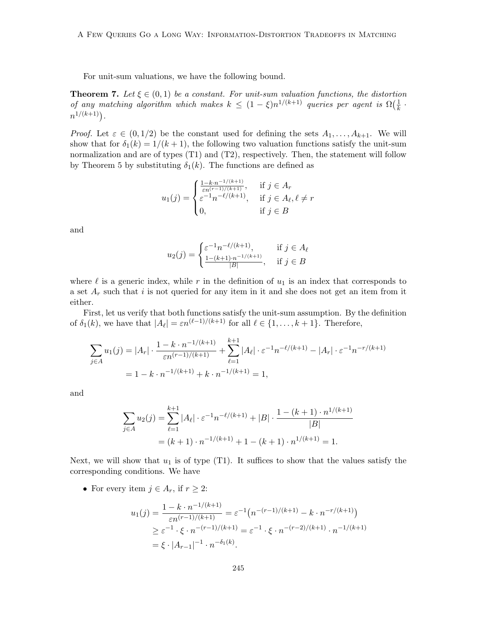For unit-sum valuations, we have the following bound.

**Theorem 7.** Let  $\xi \in (0,1)$  be a constant. For unit-sum valuation functions, the distortion of any matching algorithm which makes  $k \leq (1 - \xi)n^{1/(k+1)}$  queries per agent is  $\Omega(\frac{1}{k})$  $\frac{1}{k}$ .  $n^{1/(k+1)}$ ).

*Proof.* Let  $\varepsilon \in (0,1/2)$  be the constant used for defining the sets  $A_1, \ldots, A_{k+1}$ . We will show that for  $\delta_1(k) = 1/(k+1)$ , the following two valuation functions satisfy the unit-sum normalization and are of types (T1) and (T2), respectively. Then, the statement will follow by Theorem 5 by substituting  $\delta_1(k)$ . The functions are defined as

$$
u_1(j) = \begin{cases} \frac{1 - k \cdot n^{-1/(k+1)}}{\varepsilon n^{(r-1)/(k+1)}}, & \text{if } j \in A_r\\ \varepsilon^{-1} n^{-\ell/(k+1)}, & \text{if } j \in A_\ell, \ell \neq r\\ 0, & \text{if } j \in B \end{cases}
$$

and

$$
u_2(j) = \begin{cases} \varepsilon^{-1} n^{-\ell/(k+1)}, & \text{if } j \in A_\ell \\ \frac{1 - (k+1) \cdot n^{-1/(k+1)}}{|B|}, & \text{if } j \in B \end{cases}
$$

where  $\ell$  is a generic index, while r in the definition of  $u_1$  is an index that corresponds to a set  $A_r$  such that i is not queried for any item in it and she does not get an item from it either.

First, let us verify that both functions satisfy the unit-sum assumption. By the definition of  $\delta_1(k)$ , we have that  $|A_{\ell}| = \varepsilon n^{(\ell-1)/(k+1)}$  for all  $\ell \in \{1, \ldots, k+1\}$ . Therefore,

$$
\sum_{j \in A} u_1(j) = |A_r| \cdot \frac{1 - k \cdot n^{-1/(k+1)}}{\varepsilon n^{(r-1)/(k+1)}} + \sum_{\ell=1}^{k+1} |A_\ell| \cdot \varepsilon^{-1} n^{-\ell/(k+1)} - |A_r| \cdot \varepsilon^{-1} n^{-r/(k+1)}
$$
  
= 1 - k \cdot n^{-1/(k+1)} + k \cdot n^{-1/(k+1)} = 1,

and

$$
\sum_{j \in A} u_2(j) = \sum_{\ell=1}^{k+1} |A_{\ell}| \cdot \varepsilon^{-1} n^{-\ell/(k+1)} + |B| \cdot \frac{1 - (k+1) \cdot n^{1/(k+1)}}{|B|}
$$
  
=  $(k+1) \cdot n^{-1/(k+1)} + 1 - (k+1) \cdot n^{1/(k+1)} = 1.$ 

Next, we will show that  $u_1$  is of type (T1). It suffices to show that the values satisfy the corresponding conditions. We have

• For every item  $j \in A_r$ , if  $r \geq 2$ :

$$
u_1(j) = \frac{1 - k \cdot n^{-1/(k+1)}}{\varepsilon n^{(r-1)/(k+1)}} = \varepsilon^{-1} \left( n^{-(r-1)/(k+1)} - k \cdot n^{-r/(k+1)} \right)
$$
  
 
$$
\geq \varepsilon^{-1} \cdot \xi \cdot n^{-(r-1)/(k+1)} = \varepsilon^{-1} \cdot \xi \cdot n^{-(r-2)/(k+1)} \cdot n^{-1/(k+1)}
$$
  
 
$$
= \xi \cdot |A_{r-1}|^{-1} \cdot n^{-\delta_1(k)}.
$$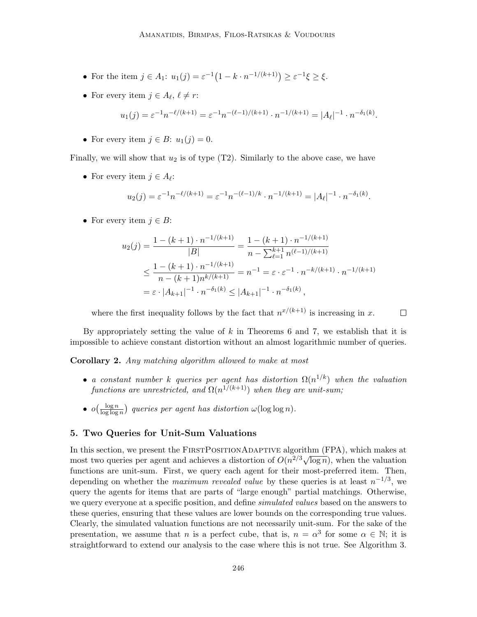- For the item  $j \in A_1$ :  $u_1(j) = \varepsilon^{-1}(1 k \cdot n^{-1/(k+1)}) \ge \varepsilon^{-1} \xi \ge \xi$ .
- For every item  $j \in A_{\ell}, \ell \neq r$ :

$$
u_1(j) = \varepsilon^{-1} n^{-\ell/(k+1)} = \varepsilon^{-1} n^{-(\ell-1)/(k+1)} \cdot n^{-1/(k+1)} = |A_{\ell}|^{-1} \cdot n^{-\delta_1(k)}.
$$

• For every item  $j \in B$ :  $u_1(j) = 0$ .

Finally, we will show that  $u_2$  is of type  $(T2)$ . Similarly to the above case, we have

• For every item  $j \in A_{\ell}$ :

$$
u_2(j) = \varepsilon^{-1} n^{-\ell/(k+1)} = \varepsilon^{-1} n^{-(\ell-1)/k} \cdot n^{-1/(k+1)} = |A_{\ell}|^{-1} \cdot n^{-\delta_1(k)}.
$$

• For every item  $j \in B$ :

$$
u_2(j) = \frac{1 - (k+1) \cdot n^{-1/(k+1)}}{|B|} = \frac{1 - (k+1) \cdot n^{-1/(k+1)}}{n - \sum_{\ell=1}^{k+1} n^{(\ell-1)/(k+1)}}
$$
  

$$
\leq \frac{1 - (k+1) \cdot n^{-1/(k+1)}}{n - (k+1)n^{k/(k+1)}} = n^{-1} = \varepsilon \cdot \varepsilon^{-1} \cdot n^{-k/(k+1)} \cdot n^{-1/(k+1)}
$$
  

$$
= \varepsilon \cdot |A_{k+1}|^{-1} \cdot n^{-\delta_1(k)} \leq |A_{k+1}|^{-1} \cdot n^{-\delta_1(k)},
$$

where the first inequality follows by the fact that  $n^{x/(k+1)}$  is increasing in x.  $\Box$ 

By appropriately setting the value of  $k$  in Theorems 6 and 7, we establish that it is impossible to achieve constant distortion without an almost logarithmic number of queries.

Corollary 2. Any matching algorithm allowed to make at most

- a constant number k queries per agent has distortion  $\Omega(n^{1/k})$  when the valuation functions are unrestricted, and  $\Omega(n^{1/(k+1)})$  when they are unit-sum;
- $\bullet$   $o\left(\frac{\log n}{\log \log n}\right)$  $\frac{\log n}{\log \log n}$  queries per agent has distortion  $\omega(\log \log n)$ .

# 5. Two Queries for Unit-Sum Valuations

In this section, we present the FIRSTPOSITIONADAPTIVE algorithm (FPA), which makes at in this section, we present the FIRSTI OSITIONADAPTIVE algorithm (FTA), which makes at most two queries per agent and achieves a distortion of  $O(n^{2/3}\sqrt{\log n})$ , when the valuation functions are unit-sum. First, we query each agent for their most-preferred item. Then, depending on whether the *maximum revealed value* by these queries is at least  $n^{-1/3}$ , we query the agents for items that are parts of "large enough" partial matchings. Otherwise, we query everyone at a specific position, and define *simulated values* based on the answers to these queries, ensuring that these values are lower bounds on the corresponding true values. Clearly, the simulated valuation functions are not necessarily unit-sum. For the sake of the presentation, we assume that n is a perfect cube, that is,  $n = \alpha^3$  for some  $\alpha \in \mathbb{N}$ ; it is straightforward to extend our analysis to the case where this is not true. See Algorithm 3.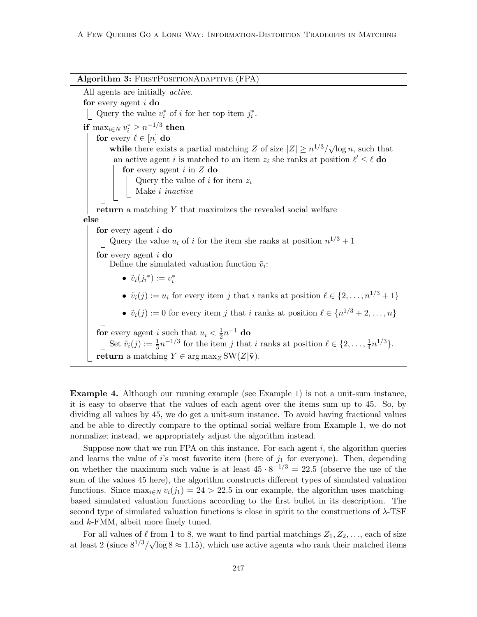Algorithm 3: FIRSTPOSITIONADAPTIVE (FPA) All agents are initially active. for every agent i do Query the value  $v_i^*$  of i for her top item  $j_i^*$ . if  $\max_{i \in N} v_i^* \geq n^{-1/3}$  then for every  $\ell \in [n]$  do while there exists a partial matching Z of size  $|Z| \ge n^{1/3}/\sqrt{n}$  $\overline{\log n}$ , such that an active agent *i* is matched to an item  $z_i$  she ranks at position  $\ell' \leq \ell$  do for every agent  $i$  in  $Z$  do Query the value of  $i$  for item  $z_i$ Make i inactive return a matching Y that maximizes the revealed social welfare else for every agent i do Query the value  $u_i$  of i for the item she ranks at position  $n^{1/3} + 1$ for every agent  $i$  do Define the simulated valuation function  $\tilde{v}_i$ : •  $\tilde{v}_i(j_i^*) := v_i^*$ •  $\tilde{v}_i(j) := u_i$  for every item j that i ranks at position  $\ell \in \{2, \ldots, n^{1/3} + 1\}$ •  $\tilde{v}_i(j) := 0$  for every item j that i ranks at position  $\ell \in \{n^{1/3} + 2, \ldots, n\}$ for every agent i such that  $u_i < \frac{1}{2}$  $\frac{1}{2}n^{-1}$  do Set  $\tilde{v}_i(j) := \frac{1}{3}n^{-1/3}$  for the item j that i ranks at position  $\ell \in \{2, \ldots, \frac{1}{4}\}$  $\frac{1}{4}n^{1/3}\}.$ return a matching  $Y \in \arg \max_{Z} SW(Z|\tilde{\mathbf{v}}).$ 

Example 4. Although our running example (see Example 1) is not a unit-sum instance, it is easy to observe that the values of each agent over the items sum up to 45. So, by dividing all values by 45, we do get a unit-sum instance. To avoid having fractional values and be able to directly compare to the optimal social welfare from Example 1, we do not normalize; instead, we appropriately adjust the algorithm instead.

Suppose now that we run FPA on this instance. For each agent  $i$ , the algorithm queries and learns the value of i's most favorite item (here of  $j_1$  for everyone). Then, depending on whether the maximum such value is at least  $45 \cdot 8^{-1/3} = 22.5$  (observe the use of the sum of the values 45 here), the algorithm constructs different types of simulated valuation functions. Since  $\max_{i \in N} v_i(j_1) = 24 > 22.5$  in our example, the algorithm uses matchingbased simulated valuation functions according to the first bullet in its description. The second type of simulated valuation functions is close in spirit to the constructions of  $\lambda$ -TSF and k-FMM, albeit more finely tuned.

For all values of  $\ell$  from 1 to 8, we want to find partial matchings  $Z_1, Z_2, \ldots$ , each of size at least 2 (since  $8^{1/3}/\sqrt{\log 8} \approx 1.15$ ), which use active agents who rank their matched items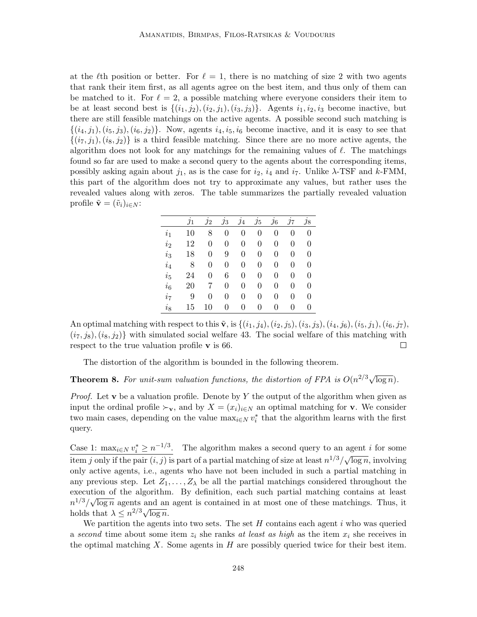at the  $\ell$ th position or better. For  $\ell = 1$ , there is no matching of size 2 with two agents that rank their item first, as all agents agree on the best item, and thus only of them can be matched to it. For  $\ell = 2$ , a possible matching where everyone considers their item to be at least second best is  $\{(i_1, i_2), (i_2, i_1), (i_3, i_3)\}\$ . Agents  $i_1, i_2, i_3$  become inactive, but there are still feasible matchings on the active agents. A possible second such matching is  $\{(i_4, j_1), (i_5, j_3), (i_6, j_2)\}\.$  Now, agents  $i_4, i_5, i_6$  become inactive, and it is easy to see that  $\{(i_7, j_1), (i_8, j_2)\}\$ is a third feasible matching. Since there are no more active agents, the algorithm does not look for any matchings for the remaining values of  $\ell$ . The matchings found so far are used to make a second query to the agents about the corresponding items, possibly asking again about  $j_1$ , as is the case for  $i_2$ ,  $i_4$  and  $i_7$ . Unlike  $\lambda$ -TSF and  $k$ -FMM, this part of the algorithm does not try to approximate any values, but rather uses the revealed values along with zeros. The table summarizes the partially revealed valuation profile  $\tilde{\mathbf{v}} = (\tilde{v}_i)_{i \in N}$ :

|                | $\jmath_1$ | $\jmath_2$       | $\jmath_3$     | $\jmath_4$     | $\jmath_5$       | $\jmath_6$ | $\jmath$ | $\jmath_8$ |
|----------------|------------|------------------|----------------|----------------|------------------|------------|----------|------------|
| $i_1$          | 10         | 8                | $\overline{0}$ | $\overline{0}$ | $\overline{0}$   | 0          | 0        | 0          |
| i <sub>2</sub> | 12         | 0                | $\overline{0}$ | $\overline{0}$ | $\overline{0}$   | 0          | 0        | 0          |
| $i_3$          | 18         | $\boldsymbol{0}$ | 9              | $\overline{0}$ | $\overline{0}$   | 0          | 0        | 0          |
| $i_4$          | 8          | 0                | $\overline{0}$ | $\overline{0}$ | $\boldsymbol{0}$ | 0          | 0        | 0          |
| $i_{5}$        | 24         | 0                | 6              | $\overline{0}$ | $\overline{0}$   | 0          | 0        | 0          |
| $i_6$          | 20         | 7                | $\overline{0}$ | 0              | 0                | 0          | 0        | 0          |
| $i_7$          | 9          | 0                | 0              | 0              | 0                | 0          | 0        | 0          |
| $i_{8}$        | 15         | 10               | 0              | 0              | 0                | 0          | 0        | 0          |

An optimal matching with respect to this  $\tilde{\mathbf{v}}$ , is  $\{(i_1, j_4), (i_2, j_5), (i_3, j_3), (i_4, j_6), (i_5, j_1), (i_6, j_7),$  $(i_7, j_8), (i_8, j_2)$  with simulated social welfare 43. The social welfare of this matching with respect to the true valuation profile v is 66.  $\Box$ 

The distortion of the algorithm is bounded in the following theorem.

**Theorem 8.** For unit-sum valuation functions, the distortion of FPA is  $O(n^{2/3}\sqrt{\log n})$ .

*Proof.* Let v be a valuation profile. Denote by Y the output of the algorithm when given as input the ordinal profile  $\succ_{\mathbf{v}}$ , and by  $X = (x_i)_{i \in N}$  an optimal matching for **v**. We consider two main cases, depending on the value  $\max_{i \in N} v_i^*$  that the algorithm learns with the first query.

Case 1:  $\max_{i \in N} v_i^* \geq n^{-1/3}$ . The algorithm makes a second query to an agent *i* for some  $\frac{\text{cos } \alpha + \text{cos } \alpha}{\text{sin } \beta}$  only if the pair  $(i, j)$  is part of a partial matching of size at least  $n^{1/3}/\sqrt{2}$  $\overline{\log n}$ , involving only active agents, i.e., agents who have not been included in such a partial matching in any previous step. Let  $Z_1, \ldots, Z_{\lambda}$  be all the partial matchings considered throughout the execution of the algorithm. By definition, each such partial matching contains at least  $n^{1/3}/\sqrt{\log n}$  agents and an agent is contained in at most one of these matchings. Thus, it  $n \nmid \sqrt{\sqrt{\log n}}$  agents and an <br>holds that  $\lambda \leq n^{2/3} \sqrt{\log n}$ .

We partition the agents into two sets. The set  $H$  contains each agent  $i$  who was queried a second time about some item  $z_i$  she ranks at least as high as the item  $x_i$  she receives in the optimal matching X. Some agents in  $H$  are possibly queried twice for their best item.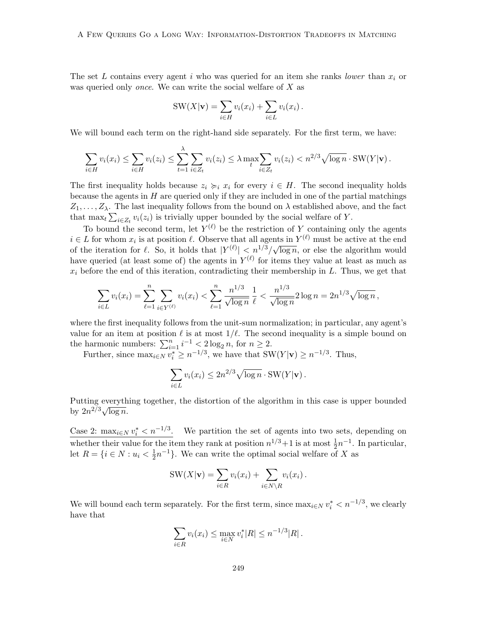The set L contains every agent i who was queried for an item she ranks lower than  $x_i$  or was queried only *once*. We can write the social welfare of X as

$$
SW(X|\mathbf{v}) = \sum_{i \in H} v_i(x_i) + \sum_{i \in L} v_i(x_i).
$$

We will bound each term on the right-hand side separately. For the first term, we have:

$$
\sum_{i\in H} v_i(x_i) \leq \sum_{i\in H} v_i(z_i) \leq \sum_{t=1}^{\lambda} \sum_{i\in Z_t} v_i(z_i) \leq \lambda \max_t \sum_{i\in Z_t} v_i(z_i) < n^{2/3} \sqrt{\log n} \cdot \text{SW}(Y|\mathbf{v}).
$$

The first inequality holds because  $z_i \succcurlyeq_i x_i$  for every  $i \in H$ . The second inequality holds because the agents in  $H$  are queried only if they are included in one of the partial matchings  $Z_1, \ldots, Z_\lambda$ . The last inequality follows from the bound on  $\lambda$  established above, and the fact that  $\max_t \sum_{i \in Z_t} v_i(z_i)$  is trivially upper bounded by the social welfare of Y.

To bound the second term, let  $Y^{(\ell)}$  be the restriction of Y containing only the agents  $i \in L$  for whom  $x_i$  is at position  $\ell$ . Observe that all agents in  $Y^{(\ell)}$  must be active at the end of the iteration for  $\ell$ . So, it holds that  $|Y^{(\ell)}| < n^{1/3}/\sqrt{\ell}$  $\overline{\log n}$ , or else the algorithm would have queried (at least some of) the agents in  $Y^{(\ell)}$  for items they value at least as much as  $x_i$  before the end of this iteration, contradicting their membership in  $L$ . Thus, we get that

$$
\sum_{i \in L} v_i(x_i) = \sum_{\ell=1}^n \sum_{i \in Y^{(\ell)}} v_i(x_i) < \sum_{\ell=1}^n \frac{n^{1/3}}{\sqrt{\log n}} \frac{1}{\ell} < \frac{n^{1/3}}{\sqrt{\log n}} 2 \log n = 2n^{1/3} \sqrt{\log n},
$$

where the first inequality follows from the unit-sum normalization; in particular, any agent's value for an item at position  $\ell$  is at most  $1/\ell$ . The second inequality is a simple bound on the harmonic numbers:  $\sum_{i=1}^{n} i^{-1} < 2 \log_2 n$ , for  $n \ge 2$ .

Further, since  $\max_{i \in N} v_i^* \ge n^{-1/3}$ , we have that  $SW(Y|\mathbf{v}) \ge n^{-1/3}$ . Thus,

$$
\sum_{i \in L} v_i(x_i) \le 2n^{2/3} \sqrt{\log n} \cdot \text{SW}(Y|\mathbf{v}).
$$

Putting everything together, the distortion of the algorithm in this case is upper bounded by  $2n^{2/3}\sqrt{\log n}$ .

Case 2:  $\max_{i \in \mathbb{N}} v_i^* < n^{-1/3}$ . We partition the set of agents into two sets, depending on whether their value for the item they rank at position  $n^{1/3}+1$  is at most  $\frac{1}{2}n^{-1}$ . In particular, let  $R = \{i \in N : u_i < \frac{1}{2}\}$  $\frac{1}{2}n^{-1}$ . We can write the optimal social welfare of X as

$$
SW(X|\mathbf{v}) = \sum_{i \in R} v_i(x_i) + \sum_{i \in N \setminus R} v_i(x_i).
$$

We will bound each term separately. For the first term, since  $\max_{i \in N} v_i^* < n^{-1/3}$ , we clearly have that

$$
\sum_{i \in R} v_i(x_i) \le \max_{i \in N} v_i^* |R| \le n^{-1/3} |R|.
$$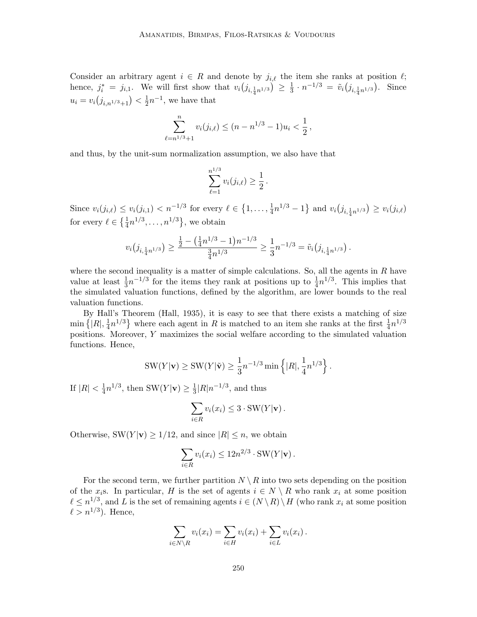Consider an arbitrary agent  $i \in R$  and denote by  $j_{i,\ell}$  the item she ranks at position  $\ell$ ; hence,  $j_i^* = j_{i,1}$ . We will first show that  $v_i(j_{i,\frac{1}{4}n^{1/3}}) \geq \frac{1}{3}$  $\frac{1}{3} \cdot n^{-1/3} = \tilde{v}_i(j_{i, \frac{1}{4}n^{1/3}})$ . Since  $u_i = v_i(j_{i,n^{1/3}+1}) < \frac{1}{2}$  $\frac{1}{2}n^{-1}$ , we have that

$$
\sum_{\ell=n^{1/3}+1}^{n} v_i(j_{i,\ell}) \le (n-n^{1/3}-1)u_i < \frac{1}{2},
$$

and thus, by the unit-sum normalization assumption, we also have that

$$
\sum_{\ell=1}^{n^{1/3}} v_i(j_{i,\ell}) \geq \frac{1}{2}.
$$

Since  $v_i(j_{i,\ell}) \le v_i(j_{i,1}) < n^{-1/3}$  for every  $\ell \in \{1, \ldots, \frac{1}{4}\}$  $\frac{1}{4}n^{1/3} - 1$  and  $v_i(j_{i, \frac{1}{4}n^{1/3}}) \ge v_i(j_{i,\ell})$ for every  $\ell \in \left\{ \frac{1}{4} n^{1/3}, \ldots, n^{1/3} \right\}$ , we obtain

$$
v_i(j_{i,\frac{1}{4}n^{1/3}}) \ge \frac{\frac{1}{2} - (\frac{1}{4}n^{1/3} - 1)n^{-1/3}}{\frac{3}{4}n^{1/3}} \ge \frac{1}{3}n^{-1/3} = \tilde{v}_i(j_{i,\frac{1}{4}n^{1/3}}).
$$

where the second inequality is a matter of simple calculations. So, all the agents in  $R$  have value at least  $\frac{1}{3}n^{-1/3}$  for the items they rank at positions up to  $\frac{1}{4}n^{1/3}$ . This implies that the simulated valuation functions, defined by the algorithm, are lower bounds to the real valuation functions.

By Hall's Theorem (Hall, 1935), it is easy to see that there exists a matching of size  $\min\{|R|,\frac{1}{4}\}$  $\frac{1}{4}n^{1/3}$  where each agent in R is matched to an item she ranks at the first  $\frac{1}{4}n^{1/3}$ positions. Moreover, Y maximizes the social welfare according to the simulated valuation functions. Hence,

$$
SW(Y|\mathbf{v}) \ge SW(Y|\tilde{\mathbf{v}}) \ge \frac{1}{3}n^{-1/3}\min\left\{|R|, \frac{1}{4}n^{1/3}\right\}.
$$

If  $|R| < \frac{1}{4}$  $\frac{1}{4}n^{1/3}$ , then SW $(Y|\mathbf{v}) \geq \frac{1}{3}$  $\frac{1}{3}|R|n^{-1/3}$ , and thus

$$
\sum_{i \in R} v_i(x_i) \leq 3 \cdot \text{SW}(Y|\mathbf{v}).
$$

Otherwise,  $\text{SW}(Y|\mathbf{v}) \geq 1/12$ , and since  $|R| \leq n$ , we obtain

$$
\sum_{i\in R} v_i(x_i) \le 12n^{2/3} \cdot \text{SW}(Y|\mathbf{v}).
$$

For the second term, we further partition  $N \setminus R$  into two sets depending on the position of the x<sub>i</sub>s. In particular, H is the set of agents  $i \in N \setminus R$  who rank  $x_i$  at some position  $\ell \leq n^{1/3}$ , and L is the set of remaining agents  $i \in (N \setminus R) \setminus H$  (who rank  $x_i$  at some position  $\ell > n^{1/3}$ ). Hence,

$$
\sum_{i \in N \setminus R} v_i(x_i) = \sum_{i \in H} v_i(x_i) + \sum_{i \in L} v_i(x_i).
$$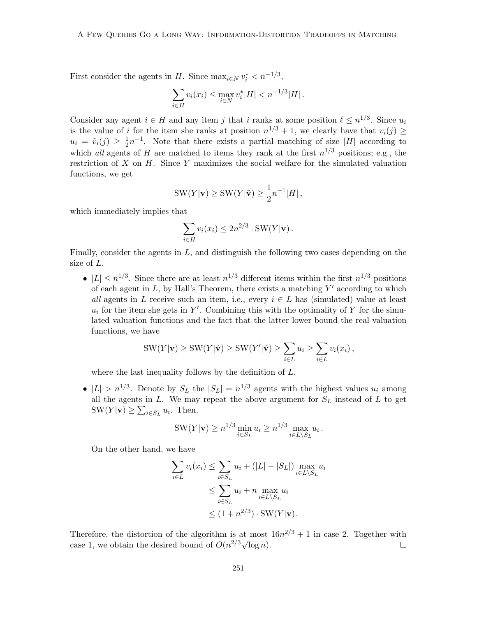First consider the agents in H. Since  $\max_{i \in N} v_i^* < n^{-1/3}$ ,

$$
\sum_{i \in H} v_i(x_i) \le \max_{i \in N} v_i^* |H| < n^{-1/3} |H| \, .
$$

Consider any agent  $i \in H$  and any item j that i ranks at some position  $\ell \leq n^{1/3}$ . Since  $u_i$ is the value of i for the item she ranks at position  $n^{1/3} + 1$ , we clearly have that  $v_i(j) \geq$  $u_i = \tilde{v}_i(j) \geq \frac{1}{2}$  $\frac{1}{2}n^{-1}$ . Note that there exists a partial matching of size |H| according to which all agents of H are matched to items they rank at the first  $n^{1/3}$  positions; e.g., the restriction of  $X$  on  $H$ . Since  $Y$  maximizes the social welfare for the simulated valuation functions, we get

$$
SW(Y|\mathbf{v}) \geq SW(Y|\tilde{\mathbf{v}}) \geq \frac{1}{2}n^{-1}|H|,
$$

which immediately implies that

$$
\sum_{i \in H} v_i(x_i) \le 2n^{2/3} \cdot \text{SW}(Y|\mathbf{v}).
$$

Finally, consider the agents in  $L$ , and distinguish the following two cases depending on the size of L.

•  $|L| \leq n^{1/3}$ . Since there are at least  $n^{1/3}$  different items within the first  $n^{1/3}$  positions of each agent in  $L$ , by Hall's Theorem, there exists a matching  $Y'$  according to which all agents in L receive such an item, i.e., every  $i \in L$  has (simulated) value at least  $u_i$  for the item she gets in Y'. Combining this with the optimality of Y for the simulated valuation functions and the fact that the latter lower bound the real valuation functions, we have

$$
SW(Y|\mathbf{v}) \geq SW(Y|\tilde{\mathbf{v}}) \geq SW(Y'|\tilde{\mathbf{v}}) \geq \sum_{i \in L} u_i \geq \sum_{i \in L} v_i(x_i),
$$

where the last inequality follows by the definition of L.

•  $|L| > n^{1/3}$ . Denote by  $S_L$  the  $|S_L| = n^{1/3}$  agents with the highest values  $u_i$  among all the agents in  $L$ . We may repeat the above argument for  $S_L$  instead of  $L$  to get  $SW(Y|\mathbf{v}) \geq \sum_{i \in S_L} u_i$ . Then,

SW(Y|**v**) 
$$
\ge n^{1/3} \min_{i \in S_L} u_i \ge n^{1/3} \max_{i \in L \setminus S_L} u_i
$$
.

On the other hand, we have

$$
\sum_{i \in L} v_i(x_i) \le \sum_{i \in S_L} u_i + (|L| - |S_L|) \max_{i \in L \setminus S_L} u_i
$$
  
\n
$$
\le \sum_{i \in S_L} u_i + n \max_{i \in L \setminus S_L} u_i
$$
  
\n
$$
\le (1 + n^{2/3}) \cdot \text{SW}(Y|\mathbf{v}).
$$

Therefore, the distortion of the algorithm is at most  $16n^{2/3} + 1$  in case 2. Together with Therefore, the distortion of the algorithm is at most<br>case 1, we obtain the desired bound of  $O(n^{2/3}\sqrt{\log n})$ .  $\Box$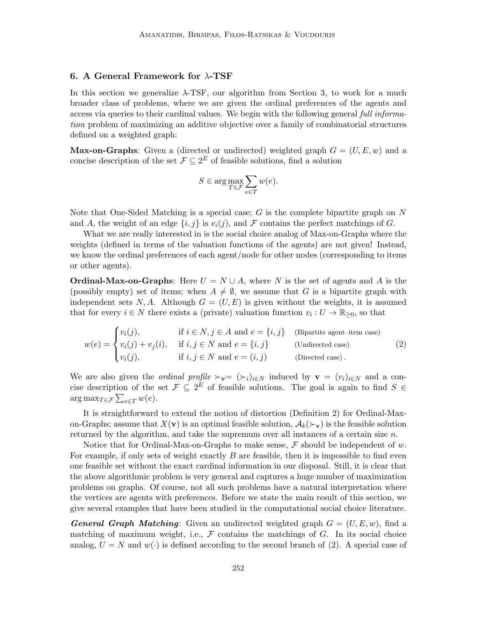#### 6. A General Framework for  $\lambda$ -TSF

In this section we generalize  $\lambda$ -TSF, our algorithm from Section 3, to work for a much broader class of problems, where we are given the ordinal preferences of the agents and access via queries to their cardinal values. We begin with the following general full information problem of maximizing an additive objective over a family of combinatorial structures defined on a weighted graph:

**Max-on-Graphs**: Given a (directed or undirected) weighted graph  $G = (U, E, w)$  and a concise description of the set  $\mathcal{F} \subseteq 2^E$  of feasible solutions, find a solution

$$
S \in \arg\max_{T \in \mathcal{F}} \sum_{e \in T} w(e).
$$

Note that One-Sided Matching is a special case;  $G$  is the complete bipartite graph on  $N$ and A, the weight of an edge  $\{i, j\}$  is  $v_i(j)$ , and F contains the perfect matchings of G.

What we are really interested in is the social choice analog of Max-on-Graphs where the weights (defined in terms of the valuation functions of the agents) are not given! Instead, we know the ordinal preferences of each agent/node for other nodes (corresponding to items or other agents).

**Ordinal-Max-on-Graphs**: Here  $U = N \cup A$ , where N is the set of agents and A is the (possibly empty) set of items; when  $A \neq \emptyset$ , we assume that G is a bipartite graph with independent sets N, A. Although  $G = (U, E)$  is given without the weights, it is assumed that for every  $i \in N$  there exists a (private) valuation function  $v_i: U \to \mathbb{R}_{\geq 0}$ , so that

$$
w(e) = \begin{cases} v_i(j), & \text{if } i \in N, j \in A \text{ and } e = \{i, j\} \quad \text{(Bipartite agent-item case)}\\ v_i(j) + v_j(i), & \text{if } i, j \in N \text{ and } e = \{i, j\} \quad \text{(Undirected case)}\\ v_i(j), & \text{if } i, j \in N \text{ and } e = (i, j) \quad \text{(Directed case)} \end{cases} \tag{2}
$$

We are also given the *ordinal profile*  $\succ_{\mathbf{v}} = (\succ_i)_{i\in N}$  induced by  $\mathbf{v} = (v_i)_{i\in N}$  and a concise description of the set  $\mathcal{F} \subseteq 2^E$  of feasible solutions. The goal is again to find  $S \in$  $\arg \max_{T \in \mathcal{F}} \sum_{e \in T} w(e).$ 

It is straightforward to extend the notion of distortion (Definition 2) for Ordinal-Maxon-Graphs; assume that  $X(\mathbf{v})$  is an optimal feasible solution,  $\mathcal{A}_k(\succ_{\mathbf{v}})$  is the feasible solution returned by the algorithm, and take the supremum over all instances of a certain size  $n$ .

Notice that for Ordinal-Max-on-Graphs to make sense,  $\mathcal F$  should be independent of w. For example, if only sets of weight exactly  $B$  are feasible, then it is impossible to find even one feasible set without the exact cardinal information in our disposal. Still, it is clear that the above algorithmic problem is very general and captures a huge number of maximization problems on graphs. Of course, not all such problems have a natural interpretation where the vertices are agents with preferences. Before we state the main result of this section, we give several examples that have been studied in the computational social choice literature.

**General Graph Matching:** Given an undirected weighted graph  $G = (U, E, w)$ , find a matching of maximum weight, i.e.,  $\mathcal F$  contains the matchings of  $G$ . In its social choice analog,  $U = N$  and  $w(\cdot)$  is defined according to the second branch of (2). A special case of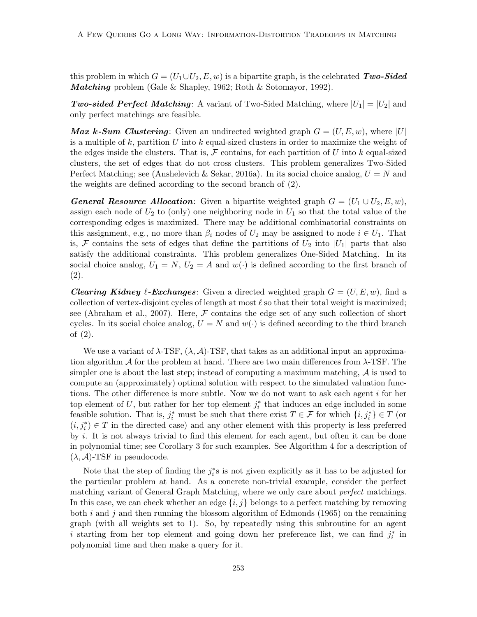this problem in which  $G = (U_1 \cup U_2, E, w)$  is a bipartite graph, is the celebrated Two-Sided Matching problem (Gale & Shapley, 1962; Roth & Sotomayor, 1992).

**Two-sided Perfect Matching**: A variant of Two-Sided Matching, where  $|U_1| = |U_2|$  and only perfect matchings are feasible.

**Max k-Sum Clustering**: Given an undirected weighted graph  $G = (U, E, w)$ , where |U| is a multiple of k, partition U into k equal-sized clusters in order to maximize the weight of the edges inside the clusters. That is,  $\mathcal F$  contains, for each partition of U into k equal-sized clusters, the set of edges that do not cross clusters. This problem generalizes Two-Sided Perfect Matching; see (Anshelevich & Sekar, 2016a). In its social choice analog,  $U = N$  and the weights are defined according to the second branch of (2).

**General Resource Allocation:** Given a bipartite weighted graph  $G = (U_1 \cup U_2, E, w)$ , assign each node of  $U_2$  to (only) one neighboring node in  $U_1$  so that the total value of the corresponding edges is maximized. There may be additional combinatorial constraints on this assignment, e.g., no more than  $\beta_i$  nodes of  $U_2$  may be assigned to node  $i \in U_1$ . That is, F contains the sets of edges that define the partitions of  $U_2$  into  $|U_1|$  parts that also satisfy the additional constraints. This problem generalizes One-Sided Matching. In its social choice analog,  $U_1 = N$ ,  $U_2 = A$  and  $w(\cdot)$  is defined according to the first branch of (2).

**Clearing Kidney**  $\ell$ **-Exchanges:** Given a directed weighted graph  $G = (U, E, w)$ , find a collection of vertex-disjoint cycles of length at most  $\ell$  so that their total weight is maximized; see (Abraham et al., 2007). Here,  $\mathcal F$  contains the edge set of any such collection of short cycles. In its social choice analog,  $U = N$  and  $w(\cdot)$  is defined according to the third branch of (2).

We use a variant of  $\lambda$ -TSF,  $(\lambda, \mathcal{A})$ -TSF, that takes as an additional input an approximation algorithm  $\mathcal A$  for the problem at hand. There are two main differences from  $\lambda$ -TSF. The simpler one is about the last step; instead of computing a maximum matching,  $\mathcal A$  is used to compute an (approximately) optimal solution with respect to the simulated valuation functions. The other difference is more subtle. Now we do not want to ask each agent  $i$  for her top element of U, but rather for her top element  $j_i^*$  that induces an edge included in some feasible solution. That is,  $j_i^*$  must be such that there exist  $T \in \mathcal{F}$  for which  $\{i, j_i^*\} \in T$  (or  $(i, j_i^*) \in T$  in the directed case) and any other element with this property is less preferred by i. It is not always trivial to find this element for each agent, but often it can be done in polynomial time; see Corollary 3 for such examples. See Algorithm 4 for a description of  $(\lambda, \mathcal{A})$ -TSF in pseudocode.

Note that the step of finding the  $j_i^*$ s is not given explicitly as it has to be adjusted for the particular problem at hand. As a concrete non-trivial example, consider the perfect matching variant of General Graph Matching, where we only care about perfect matchings. In this case, we can check whether an edge  $\{i, j\}$  belongs to a perfect matching by removing both i and j and then running the blossom algorithm of Edmonds (1965) on the remaining graph (with all weights set to 1). So, by repeatedly using this subroutine for an agent i starting from her top element and going down her preference list, we can find  $j_i^*$  in polynomial time and then make a query for it.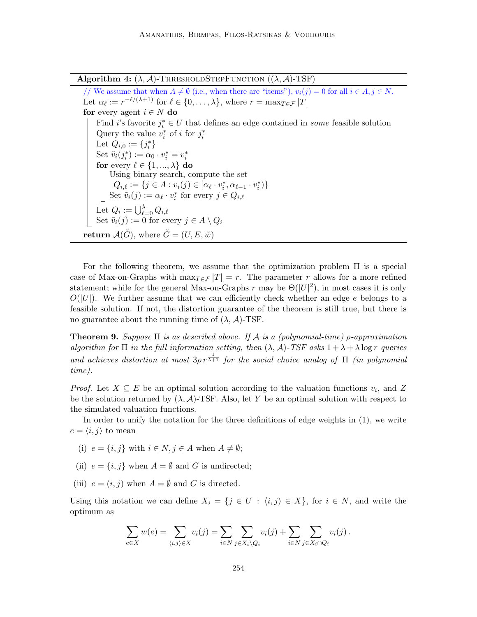Algorithm 4:  $(\lambda, \mathcal{A})$ -THRESHOLDSTEPFUNCTION  $((\lambda, \mathcal{A})$ -TSF)

// We assume that when  $A \neq \emptyset$  (i.e., when there are "items"),  $v_i(j) = 0$  for all  $i \in A, j \in N$ . Let  $\alpha_{\ell} := r^{-\ell/(\lambda+1)}$  for  $\ell \in \{0, \ldots, \lambda\}$ , where  $r = \max_{T \in \mathcal{F}} |T|$ for every agent  $i \in N$  do Find i's favorite  $j_i^* \in U$  that defines an edge contained in *some* feasible solution Query the value  $v_i^*$  of *i* for  $j_i^*$ Let  $Q_{i,0} := \{j_i^*\}$ Set  $\tilde{v}_i(j_i^*) := \alpha_0 \cdot v_i^* = v_i^*$ for every  $\ell \in \{1, ..., \lambda\}$  do Using binary search, compute the set  $Q_{i,\ell} := \{j \in A : v_i(j) \in [\alpha_{\ell} \cdot v_i^*, \alpha_{\ell-1} \cdot v_i^*)\}$ Set  $\tilde{v}_i(j) := \alpha_\ell \cdot v_i^*$  for every  $j \in Q_{i,\ell}$ Let  $Q_i := \bigcup_{\ell=0}^{\lambda} Q_{i,\ell}$ Set  $\tilde{v}_i(j) := 0$  for every  $j \in A \setminus Q_i$ return  $\mathcal{A}(\tilde{G})$ , where  $\tilde{G} = (U, E, \tilde{w})$ 

For the following theorem, we assume that the optimization problem  $\Pi$  is a special case of Max-on-Graphs with  $\max_{T \in \mathcal{F}} |T| = r$ . The parameter r allows for a more refined statement; while for the general Max-on-Graphs r may be  $\Theta(|U|^2)$ , in most cases it is only  $O(|U|)$ . We further assume that we can efficiently check whether an edge e belongs to a feasible solution. If not, the distortion guarantee of the theorem is still true, but there is no guarantee about the running time of  $(\lambda, \mathcal{A})$ -TSF.

**Theorem 9.** Suppose  $\Pi$  is as described above. If A is a (polynomial-time)  $\rho$ -approximation algorithm for  $\Pi$  in the full information setting, then  $(\lambda, \mathcal{A})$ -TSF asks  $1 + \lambda + \lambda \log r$  queries and achieves distortion at most  $3\rho r^{\frac{1}{\lambda+1}}$  for the social choice analog of  $\Pi$  (in polynomial time).

*Proof.* Let  $X \subseteq E$  be an optimal solution according to the valuation functions  $v_i$ , and Z be the solution returned by  $(\lambda, \mathcal{A})$ -TSF. Also, let Y be an optimal solution with respect to the simulated valuation functions.

In order to unify the notation for the three definitions of edge weights in (1), we write  $e = \langle i, j \rangle$  to mean

- (i)  $e = \{i, j\}$  with  $i \in N, j \in A$  when  $A \neq \emptyset$ ;
- (ii)  $e = \{i, j\}$  when  $A = \emptyset$  and G is undirected;
- (iii)  $e = (i, j)$  when  $A = \emptyset$  and G is directed.

Using this notation we can define  $X_i = \{j \in U : \langle i, j \rangle \in X\}$ , for  $i \in N$ , and write the optimum as

$$
\sum_{e \in X} w(e) = \sum_{\langle i,j \rangle \in X} v_i(j) = \sum_{i \in N} \sum_{j \in X_i \setminus Q_i} v_i(j) + \sum_{i \in N} \sum_{j \in X_i \cap Q_i} v_i(j).
$$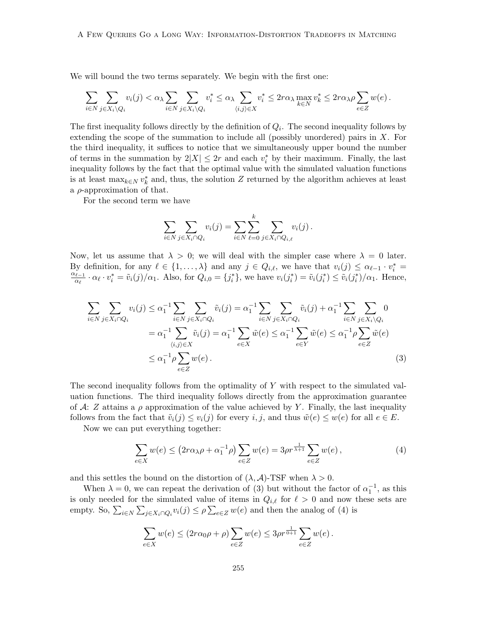We will bound the two terms separately. We begin with the first one:

$$
\sum_{i\in N}\sum_{j\in X_i\backslash Q_i}v_i(j)<\alpha_\lambda \sum_{i\in N}\sum_{j\in X_i\backslash Q_i}v_i^*\leq \alpha_\lambda \sum_{\langle i,j\rangle\in X}v_i^*\leq 2r\alpha_\lambda \max_{k\in N}v_k^*\leq 2r\alpha_\lambda \rho \sum_{e\in Z}w(e)\,.
$$

The first inequality follows directly by the definition of  $Q_i$ . The second inequality follows by extending the scope of the summation to include all (possibly unordered) pairs in  $X$ . For the third inequality, it suffices to notice that we simultaneously upper bound the number of terms in the summation by  $2|X| \leq 2r$  and each  $v_i^*$  by their maximum. Finally, the last inequality follows by the fact that the optimal value with the simulated valuation functions is at least  $\max_{k \in \mathbb{N}} v_k^*$  and, thus, the solution Z returned by the algorithm achieves at least a  $\rho$ -approximation of that.

For the second term we have

$$
\sum_{i \in N} \sum_{j \in X_i \cap Q_i} v_i(j) = \sum_{i \in N} \sum_{\ell=0}^k \sum_{j \in X_i \cap Q_{i,\ell}} v_i(j).
$$

Now, let us assume that  $\lambda > 0$ ; we will deal with the simpler case where  $\lambda = 0$  later. By definition, for any  $\ell \in \{1, ..., \lambda\}$  and any  $j \in Q_{i,\ell}$ , we have that  $v_i(j) \leq \alpha_{\ell-1} \cdot v_i^* =$  $\alpha_{\ell-1}$  $\frac{\partial u}{\partial x_i} \cdot \alpha_\ell \cdot v_i^* = \tilde{v}_i(j)/\alpha_1$ . Also, for  $Q_{i,0} = \{j_i^*\}$ , we have  $v_i(j_i^*) = \tilde{v}_i(j_i^*) \leq \tilde{v}_i(j_i^*)/\alpha_1$ . Hence,

$$
\sum_{i \in N} \sum_{j \in X_i \cap Q_i} v_i(j) \le \alpha_1^{-1} \sum_{i \in N} \sum_{j \in X_i \cap Q_i} \tilde{v}_i(j) = \alpha_1^{-1} \sum_{i \in N} \sum_{j \in X_i \cap Q_i} \tilde{v}_i(j) + \alpha_1^{-1} \sum_{i \in N} \sum_{j \in X_i \setminus Q_i} 0
$$
\n
$$
= \alpha_1^{-1} \sum_{\langle i,j \rangle \in X} \tilde{v}_i(j) = \alpha_1^{-1} \sum_{e \in X} \tilde{w}(e) \le \alpha_1^{-1} \sum_{e \in Y} \tilde{w}(e) \le \alpha_1^{-1} \rho \sum_{e \in Z} \tilde{w}(e)
$$
\n
$$
\le \alpha_1^{-1} \rho \sum_{e \in Z} w(e).
$$
\n(3)

The second inequality follows from the optimality of Y with respect to the simulated valuation functions. The third inequality follows directly from the approximation guarantee of A: Z attains a  $\rho$  approximation of the value achieved by Y. Finally, the last inequality follows from the fact that  $\tilde{v}_i(j) \le v_i(j)$  for every i, j, and thus  $\tilde{w}(e) \le w(e)$  for all  $e \in E$ .

Now we can put everything together:

$$
\sum_{e \in X} w(e) \le (2r\alpha_{\lambda}\rho + \alpha_1^{-1}\rho) \sum_{e \in Z} w(e) = 3\rho r^{\frac{1}{\lambda+1}} \sum_{e \in Z} w(e) , \qquad (4)
$$

and this settles the bound on the distortion of  $(\lambda, \mathcal{A})$ -TSF when  $\lambda > 0$ .

When  $\lambda = 0$ , we can repeat the derivation of (3) but without the factor of  $\alpha_1^{-1}$ , as this is only needed for the simulated value of items in  $Q_{i,\ell}$  for  $\ell > 0$  and now these sets are empty. So,  $\sum_{i\in N}\sum_{j\in X_i\cap Q_i}v_i(j)\leq \rho\sum_{e\in Z}w(e)$  and then the analog of (4) is

$$
\sum_{e \in X} w(e) \le (2r\alpha_0 \rho + \rho) \sum_{e \in Z} w(e) \le 3\rho r^{\frac{1}{0+1}} \sum_{e \in Z} w(e).
$$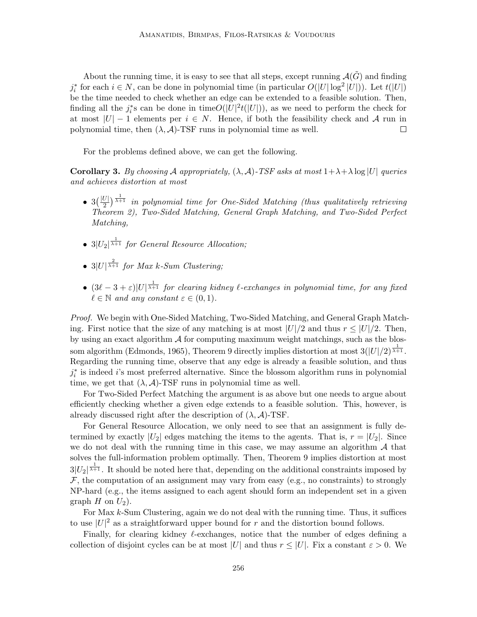About the running time, it is easy to see that all steps, except running  $\mathcal{A}(\tilde{G})$  and finding  $j_i^*$  for each  $i \in N$ , can be done in polynomial time (in particular  $O(|U| \log^2 |U|)$ ). Let  $t(|U|)$ be the time needed to check whether an edge can be extended to a feasible solution. Then, finding all the  $j_i^*$ s can be done in time $O(|U|^2 t(|U|))$ , as we need to perform the check for at most  $|U| - 1$  elements per  $i \in N$ . Hence, if both the feasibility check and A run in polynomial time, then  $(\lambda, \mathcal{A})$ -TSF runs in polynomial time as well.  $\Box$ 

For the problems defined above, we can get the following.

**Corollary 3.** By choosing A appropriately,  $(\lambda, \mathcal{A})$ -TSF asks at most  $1 + \lambda + \lambda \log |U|$  queries and achieves distortion at most

- $3(\frac{|U|}{2})^{\frac{1}{\lambda+1}}$  in polynomial time for One-Sided Matching (thus qualitatively retrieving Theorem 2), Two-Sided Matching, General Graph Matching, and Two-Sided Perfect Matching,
- $3|U_2|^{\frac{1}{\lambda+1}}$  for General Resource Allocation;
- $3|U|^{\frac{2}{\lambda+1}}$  for Max k-Sum Clustering;
- $(3\ell 3 + \varepsilon)|U|^{\frac{1}{\lambda+1}}$  for clearing kidney  $\ell$ -exchanges in polynomial time, for any fixed  $\ell \in \mathbb{N}$  and any constant  $\varepsilon \in (0, 1)$ .

Proof. We begin with One-Sided Matching, Two-Sided Matching, and General Graph Matching. First notice that the size of any matching is at most  $|U|/2$  and thus  $r \leq |U|/2$ . Then, by using an exact algorithm  $A$  for computing maximum weight matchings, such as the blossom algorithm (Edmonds, 1965), Theorem 9 directly implies distortion at most  $3(|U|/2)^{\frac{1}{\lambda+1}}$ . Regarding the running time, observe that any edge is already a feasible solution, and thus  $j_i^*$  is indeed *i*'s most preferred alternative. Since the blossom algorithm runs in polynomial time, we get that  $(\lambda, \mathcal{A})$ -TSF runs in polynomial time as well.

For Two-Sided Perfect Matching the argument is as above but one needs to argue about efficiently checking whether a given edge extends to a feasible solution. This, however, is already discussed right after the description of  $(\lambda, \mathcal{A})$ -TSF.

For General Resource Allocation, we only need to see that an assignment is fully determined by exactly  $|U_2|$  edges matching the items to the agents. That is,  $r = |U_2|$ . Since we do not deal with the running time in this case, we may assume an algorithm  $\mathcal A$  that solves the full-information problem optimally. Then, Theorem 9 implies distortion at most  $3|U_2|^{\frac{1}{\lambda+1}}$ . It should be noted here that, depending on the additional constraints imposed by  $\mathcal F$ , the computation of an assignment may vary from easy (e.g., no constraints) to strongly NP-hard (e.g., the items assigned to each agent should form an independent set in a given graph  $H$  on  $U_2$ ).

For Max k-Sum Clustering, again we do not deal with the running time. Thus, it suffices to use  $|U|^2$  as a straightforward upper bound for r and the distortion bound follows.

Finally, for clearing kidney  $\ell$ -exchanges, notice that the number of edges defining a collection of disjoint cycles can be at most |U| and thus  $r \leq |U|$ . Fix a constant  $\varepsilon > 0$ . We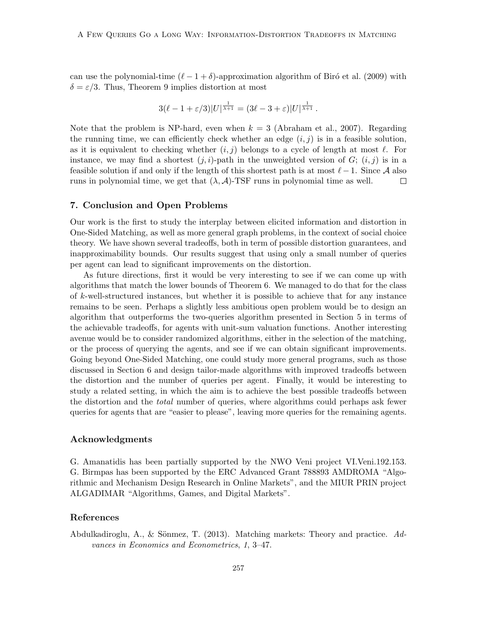can use the polynomial-time  $(\ell - 1 + \delta)$ -approximation algorithm of Biró et al. (2009) with  $\delta = \varepsilon/3$ . Thus, Theorem 9 implies distortion at most

$$
3(\ell - 1 + \varepsilon/3)|U|^{\frac{1}{\lambda + 1}} = (3\ell - 3 + \varepsilon)|U|^{\frac{1}{\lambda + 1}}.
$$

Note that the problem is NP-hard, even when  $k = 3$  (Abraham et al., 2007). Regarding the running time, we can efficiently check whether an edge  $(i, j)$  is in a feasible solution, as it is equivalent to checking whether  $(i, j)$  belongs to a cycle of length at most  $\ell$ . For instance, we may find a shortest  $(j, i)$ -path in the unweighted version of  $G$ ;  $(i, j)$  is in a feasible solution if and only if the length of this shortest path is at most  $\ell - 1$ . Since A also runs in polynomial time, we get that  $(\lambda, \mathcal{A})$ -TSF runs in polynomial time as well.  $\Box$ 

# 7. Conclusion and Open Problems

Our work is the first to study the interplay between elicited information and distortion in One-Sided Matching, as well as more general graph problems, in the context of social choice theory. We have shown several tradeoffs, both in term of possible distortion guarantees, and inapproximability bounds. Our results suggest that using only a small number of queries per agent can lead to significant improvements on the distortion.

As future directions, first it would be very interesting to see if we can come up with algorithms that match the lower bounds of Theorem 6. We managed to do that for the class of  $k$ -well-structured instances, but whether it is possible to achieve that for any instance remains to be seen. Perhaps a slightly less ambitious open problem would be to design an algorithm that outperforms the two-queries algorithm presented in Section 5 in terms of the achievable tradeoffs, for agents with unit-sum valuation functions. Another interesting avenue would be to consider randomized algorithms, either in the selection of the matching, or the process of querying the agents, and see if we can obtain significant improvements. Going beyond One-Sided Matching, one could study more general programs, such as those discussed in Section 6 and design tailor-made algorithms with improved tradeoffs between the distortion and the number of queries per agent. Finally, it would be interesting to study a related setting, in which the aim is to achieve the best possible tradeoffs between the distortion and the total number of queries, where algorithms could perhaps ask fewer queries for agents that are "easier to please", leaving more queries for the remaining agents.

### Acknowledgments

G. Amanatidis has been partially supported by the NWO Veni project VI.Veni.192.153. G. Birmpas has been supported by the ERC Advanced Grant 788893 AMDROMA "Algorithmic and Mechanism Design Research in Online Markets", and the MIUR PRIN project ALGADIMAR "Algorithms, Games, and Digital Markets".

# References

Abdulkadiroglu, A., & Sönmez, T. (2013). Matching markets: Theory and practice.  $Ad$ vances in Economics and Econometrics, 1, 3–47.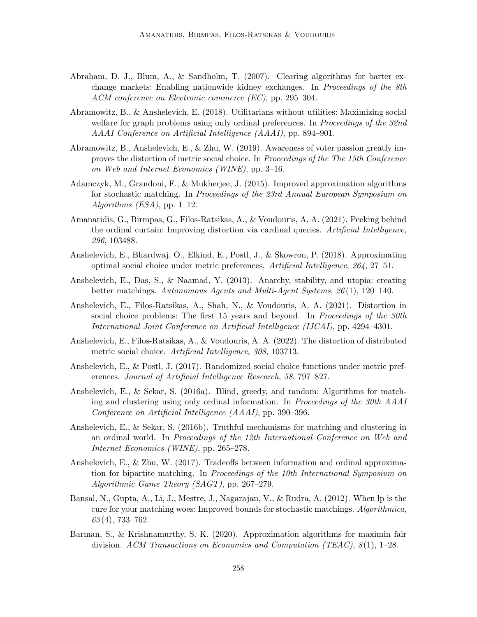- Abraham, D. J., Blum, A., & Sandholm, T. (2007). Clearing algorithms for barter exchange markets: Enabling nationwide kidney exchanges. In Proceedings of the 8th ACM conference on Electronic commerce (EC), pp. 295–304.
- Abramowitz, B., & Anshelevich, E. (2018). Utilitarians without utilities: Maximizing social welfare for graph problems using only ordinal preferences. In *Proceedings of the 32nd* AAAI Conference on Artificial Intelligence (AAAI), pp. 894–901.
- Abramowitz, B., Anshelevich, E., & Zhu, W. (2019). Awareness of voter passion greatly improves the distortion of metric social choice. In Proceedings of the The 15th Conference on Web and Internet Economics (WINE), pp. 3–16.
- Adamczyk, M., Grandoni, F., & Mukherjee, J. (2015). Improved approximation algorithms for stochastic matching. In Proceedings of the 23rd Annual European Symposium on Algorithms  $(ESA)$ , pp. 1–12.
- Amanatidis, G., Birmpas, G., Filos-Ratsikas, A., & Voudouris, A. A. (2021). Peeking behind the ordinal curtain: Improving distortion via cardinal queries. Artificial Intelligence, 296, 103488.
- Anshelevich, E., Bhardwaj, O., Elkind, E., Postl, J., & Skowron, P. (2018). Approximating optimal social choice under metric preferences. Artificial Intelligence, 264, 27–51.
- Anshelevich, E., Das, S., & Naamad, Y. (2013). Anarchy, stability, and utopia: creating better matchings. Autonomous Agents and Multi-Agent Systems, 26 (1), 120–140.
- Anshelevich, E., Filos-Ratsikas, A., Shah, N., & Voudouris, A. A. (2021). Distortion in social choice problems: The first 15 years and beyond. In *Proceedings of the 30th* International Joint Conference on Artificial Intelligence (IJCAI), pp. 4294–4301.
- Anshelevich, E., Filos-Ratsikas, A., & Voudouris, A. A. (2022). The distortion of distributed metric social choice. Artificial Intelligence, 308, 103713.
- Anshelevich, E., & Postl, J. (2017). Randomized social choice functions under metric preferences. Journal of Artificial Intelligence Research, 58, 797–827.
- Anshelevich, E., & Sekar, S. (2016a). Blind, greedy, and random: Algorithms for matching and clustering using only ordinal information. In Proceedings of the 30th AAAI Conference on Artificial Intelligence (AAAI), pp. 390–396.
- Anshelevich, E., & Sekar, S. (2016b). Truthful mechanisms for matching and clustering in an ordinal world. In Proceedings of the 12th International Conference on Web and Internet Economics (WINE), pp. 265–278.
- Anshelevich, E., & Zhu, W. (2017). Tradeoffs between information and ordinal approximation for bipartite matching. In Proceedings of the 10th International Symposium on Algorithmic Game Theory (SAGT), pp. 267–279.
- Bansal, N., Gupta, A., Li, J., Mestre, J., Nagarajan, V., & Rudra, A. (2012). When lp is the cure for your matching woes: Improved bounds for stochastic matchings. Algorithmica,  $63(4)$ , 733–762.
- Barman, S., & Krishnamurthy, S. K. (2020). Approximation algorithms for maximin fair division. ACM Transactions on Economics and Computation (TEAC),  $8(1)$ , 1–28.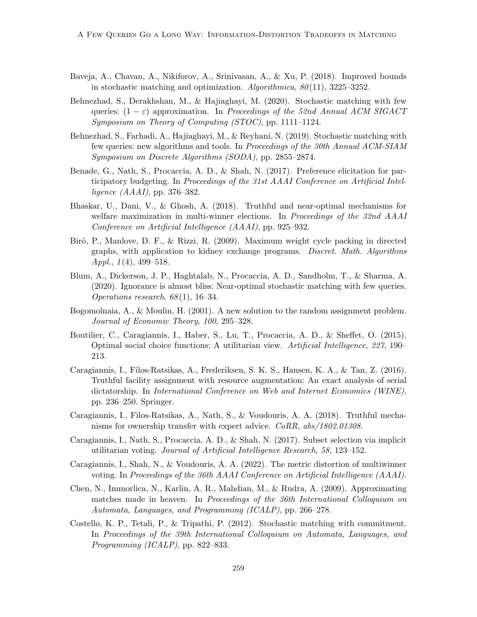- Baveja, A., Chavan, A., Nikiforov, A., Srinivasan, A., & Xu, P. (2018). Improved bounds in stochastic matching and optimization.  $Algorithmica$ ,  $80(11)$ , 3225–3252.
- Behnezhad, S., Derakhshan, M., & Hajiaghayi, M. (2020). Stochastic matching with few queries:  $(1 - \varepsilon)$  approximation. In Proceedings of the 52nd Annual ACM SIGACT Symposium on Theory of Computing (STOC), pp. 1111–1124.
- Behnezhad, S., Farhadi, A., Hajiaghayi, M., & Reyhani, N. (2019). Stochastic matching with few queries: new algorithms and tools. In Proceedings of the 30th Annual ACM-SIAM Symposium on Discrete Algorithms (SODA), pp. 2855–2874.
- Benade, G., Nath, S., Procaccia, A. D., & Shah, N. (2017). Preference elicitation for participatory budgeting. In Proceedings of the 31st AAAI Conference on Artificial Intelligence (AAAI), pp. 376–382.
- Bhaskar, U., Dani, V., & Ghosh, A. (2018). Truthful and near-optimal mechanisms for welfare maximization in multi-winner elections. In *Proceedings of the 32nd AAAI* Conference on Artificial Intelligence (AAAI), pp. 925–932.
- Biró, P., Manlove, D. F., & Rizzi, R. (2009). Maximum weight cycle packing in directed graphs, with application to kidney exchange programs. Discret. Math. Algorithms Appl.,  $1(4)$ , 499–518.
- Blum, A., Dickerson, J. P., Haghtalab, N., Procaccia, A. D., Sandholm, T., & Sharma, A. (2020). Ignorance is almost bliss: Near-optimal stochastic matching with few queries. Operations research,  $68(1)$ , 16–34.
- Bogomolnaia, A., & Moulin, H. (2001). A new solution to the random assignment problem. Journal of Economic Theory, 100, 295–328.
- Boutilier, C., Caragiannis, I., Haber, S., Lu, T., Procaccia, A. D., & Sheffet, O. (2015). Optimal social choice functions: A utilitarian view. Artificial Intelligence, 227, 190– 213.
- Caragiannis, I., Filos-Ratsikas, A., Frederiksen, S. K. S., Hansen, K. A., & Tan, Z. (2016). Truthful facility assignment with resource augmentation: An exact analysis of serial dictatorship. In International Conference on Web and Internet Economics (WINE), pp. 236–250. Springer.
- Caragiannis, I., Filos-Ratsikas, A., Nath, S., & Voudouris, A. A. (2018). Truthful mechanisms for ownership transfer with expert advice. CoRR, abs/1802.01308.
- Caragiannis, I., Nath, S., Procaccia, A. D., & Shah, N. (2017). Subset selection via implicit utilitarian voting. Journal of Artificial Intelligence Research, 58, 123–152.
- Caragiannis, I., Shah, N., & Voudouris, A. A. (2022). The metric distortion of multiwinner voting. In Proceedings of the 36th AAAI Conference on Artificial Intelligence (AAAI).
- Chen, N., Immorlica, N., Karlin, A. R., Mahdian, M., & Rudra, A. (2009). Approximating matches made in heaven. In Proceedings of the 36th International Colloquium on Automata, Languages, and Programming (ICALP), pp. 266–278.
- Costello, K. P., Tetali, P., & Tripathi, P. (2012). Stochastic matching with commitment. In Proceedings of the 39th International Colloquium on Automata, Languages, and Programming (ICALP), pp. 822–833.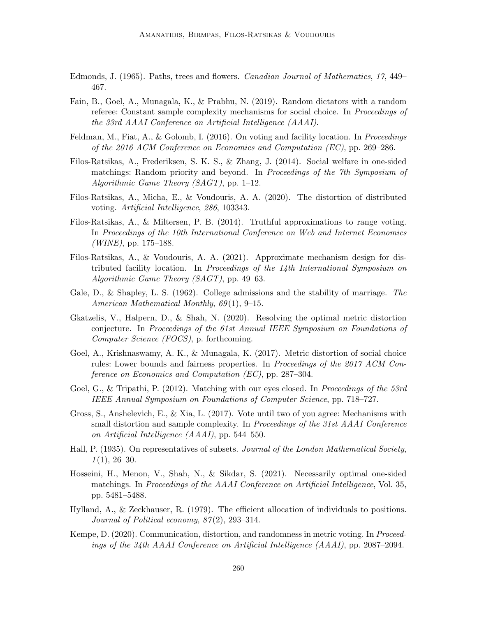- Edmonds, J. (1965). Paths, trees and flowers. Canadian Journal of Mathematics, 17, 449– 467.
- Fain, B., Goel, A., Munagala, K., & Prabhu, N. (2019). Random dictators with a random referee: Constant sample complexity mechanisms for social choice. In *Proceedings of* the 33rd AAAI Conference on Artificial Intelligence (AAAI).
- Feldman, M., Fiat, A., & Golomb, I. (2016). On voting and facility location. In *Proceedings* of the 2016 ACM Conference on Economics and Computation (EC), pp. 269–286.
- Filos-Ratsikas, A., Frederiksen, S. K. S., & Zhang, J. (2014). Social welfare in one-sided matchings: Random priority and beyond. In *Proceedings of the 7th Symposium of* Algorithmic Game Theory (SAGT), pp. 1–12.
- Filos-Ratsikas, A., Micha, E., & Voudouris, A. A. (2020). The distortion of distributed voting. Artificial Intelligence, 286, 103343.
- Filos-Ratsikas, A., & Miltersen, P. B. (2014). Truthful approximations to range voting. In Proceedings of the 10th International Conference on Web and Internet Economics  $(WINE)$ , pp. 175–188.
- Filos-Ratsikas, A., & Voudouris, A. A. (2021). Approximate mechanism design for distributed facility location. In Proceedings of the 14th International Symposium on Algorithmic Game Theory (SAGT), pp. 49–63.
- Gale, D., & Shapley, L. S. (1962). College admissions and the stability of marriage. The American Mathematical Monthly, 69(1), 9-15.
- Gkatzelis, V., Halpern, D., & Shah, N. (2020). Resolving the optimal metric distortion conjecture. In Proceedings of the 61st Annual IEEE Symposium on Foundations of Computer Science (FOCS), p. forthcoming.
- Goel, A., Krishnaswamy, A. K., & Munagala, K. (2017). Metric distortion of social choice rules: Lower bounds and fairness properties. In *Proceedings of the 2017 ACM Con*ference on Economics and Computation (EC), pp. 287–304.
- Goel, G., & Tripathi, P. (2012). Matching with our eyes closed. In Proceedings of the 53rd IEEE Annual Symposium on Foundations of Computer Science, pp. 718–727.
- Gross, S., Anshelevich, E., & Xia, L. (2017). Vote until two of you agree: Mechanisms with small distortion and sample complexity. In Proceedings of the 31st AAAI Conference on Artificial Intelligence (AAAI), pp. 544–550.
- Hall, P. (1935). On representatives of subsets. Journal of the London Mathematical Society,  $1(1), 26-30.$
- Hosseini, H., Menon, V., Shah, N., & Sikdar, S. (2021). Necessarily optimal one-sided matchings. In *Proceedings of the AAAI Conference on Artificial Intelligence*, Vol. 35, pp. 5481–5488.
- Hylland, A., & Zeckhauser, R. (1979). The efficient allocation of individuals to positions. Journal of Political economy,  $87(2)$ , 293–314.
- Kempe, D. (2020). Communication, distortion, and randomness in metric voting. In Proceedings of the 34th AAAI Conference on Artificial Intelligence (AAAI), pp. 2087–2094.